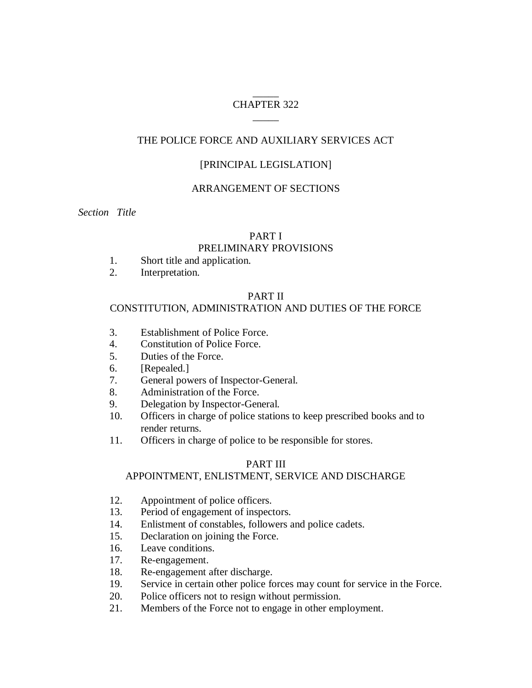### $\overline{\phantom{a}}$ CHAPTER 322  $\overline{\phantom{a}}$

# THE POLICE FORCE AND AUXILIARY SERVICES ACT

# [PRINCIPAL LEGISLATION]

### ARRANGEMENT OF SECTIONS

*Section Title*

### PART I

### PRELIMINARY PROVISIONS

- 1. Short title and application.
- 2. Interpretation.

# PART II

# CONSTITUTION, ADMINISTRATION AND DUTIES OF THE FORCE

- 3. Establishment of Police Force.
- 4. Constitution of Police Force.
- 5. Duties of the Force.
- 6. [Repealed.]
- 7. General powers of Inspector-General.
- 8. Administration of the Force.
- 9. Delegation by Inspector-General.
- 10. Officers in charge of police stations to keep prescribed books and to render returns.
- 11. Officers in charge of police to be responsible for stores.

### PART III

# APPOINTMENT, ENLISTMENT, SERVICE AND DISCHARGE

- 12. Appointment of police officers.
- 13. Period of engagement of inspectors.
- 14. Enlistment of constables, followers and police cadets.
- 15. Declaration on joining the Force.
- 16. Leave conditions.
- 17. Re-engagement.
- 18. Re-engagement after discharge.
- 19. Service in certain other police forces may count for service in the Force.
- 20. Police officers not to resign without permission.
- 21. Members of the Force not to engage in other employment.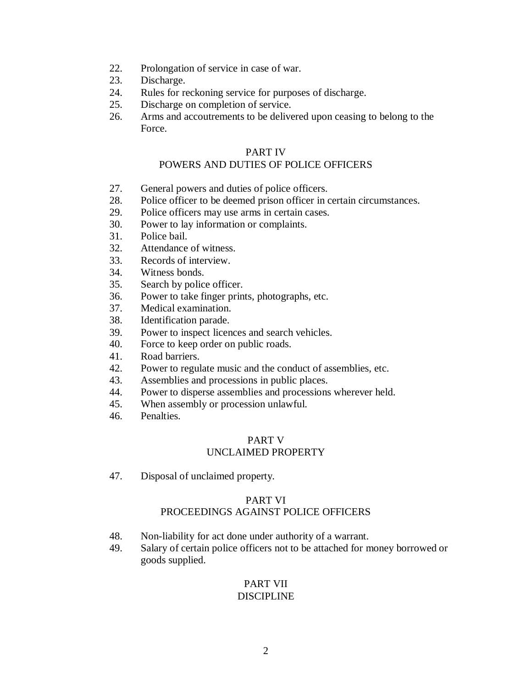- 22. Prolongation of service in case of war.
- 23. Discharge.
- 24. Rules for reckoning service for purposes of discharge.
- 25. Discharge on completion of service.
- 26. Arms and accoutrements to be delivered upon ceasing to belong to the Force.

# PART IV

# POWERS AND DUTIES OF POLICE OFFICERS

- 27. General powers and duties of police officers.
- 28. Police officer to be deemed prison officer in certain circumstances.
- 29. Police officers may use arms in certain cases.
- 30. Power to lay information or complaints.
- 31. Police bail.
- 32. Attendance of witness.
- 33. Records of interview.
- 34. Witness bonds.
- 35. Search by police officer.
- 36. Power to take finger prints, photographs, etc.
- 37. Medical examination.
- 38. Identification parade.
- 39. Power to inspect licences and search vehicles.
- 40. Force to keep order on public roads.
- 41. Road barriers.
- 42. Power to regulate music and the conduct of assemblies, etc.
- 43. Assemblies and processions in public places.
- 44. Power to disperse assemblies and processions wherever held.
- 45. When assembly or procession unlawful.
- 46. Penalties.

### PART V UNCLAIMED PROPERTY

47. Disposal of unclaimed property.

### PART VI

# PROCEEDINGS AGAINST POLICE OFFICERS

- 48. Non-liability for act done under authority of a warrant.
- 49. Salary of certain police officers not to be attached for money borrowed or goods supplied.

### PART VII DISCIPLINE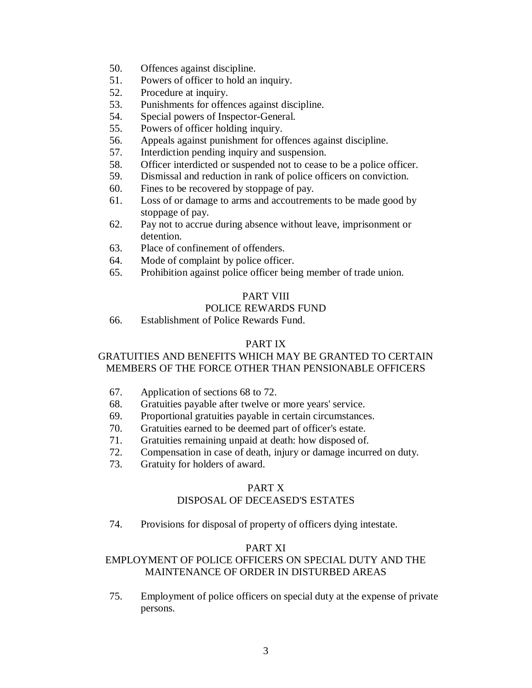- 50. Offences against discipline.
- 51. Powers of officer to hold an inquiry.
- 52. Procedure at inquiry.
- 53. Punishments for offences against discipline.
- 54. Special powers of Inspector-General.
- 55. Powers of officer holding inquiry.
- 56. Appeals against punishment for offences against discipline.
- 57. Interdiction pending inquiry and suspension.
- 58. Officer interdicted or suspended not to cease to be a police officer.
- 59. Dismissal and reduction in rank of police officers on conviction.
- 60. Fines to be recovered by stoppage of pay.
- 61. Loss of or damage to arms and accoutrements to be made good by stoppage of pay.
- 62. Pay not to accrue during absence without leave, imprisonment or detention.
- 63. Place of confinement of offenders.
- 64. Mode of complaint by police officer.
- 65. Prohibition against police officer being member of trade union.

# PART VIII

# POLICE REWARDS FUND

66. Establishment of Police Rewards Fund.

# PART IX

# GRATUITIES AND BENEFITS WHICH MAY BE GRANTED TO CERTAIN MEMBERS OF THE FORCE OTHER THAN PENSIONABLE OFFICERS

- 67. Application of sections 68 to 72.
- 68. Gratuities payable after twelve or more years' service.
- 69. Proportional gratuities payable in certain circumstances.
- 70. Gratuities earned to be deemed part of officer's estate.
- 71. Gratuities remaining unpaid at death: how disposed of.
- 72. Compensation in case of death, injury or damage incurred on duty.
- 73. Gratuity for holders of award.

# PART X

# DISPOSAL OF DECEASED'S ESTATES

74. Provisions for disposal of property of officers dying intestate.

# PART XI

# EMPLOYMENT OF POLICE OFFICERS ON SPECIAL DUTY AND THE MAINTENANCE OF ORDER IN DISTURBED AREAS

75. Employment of police officers on special duty at the expense of private persons.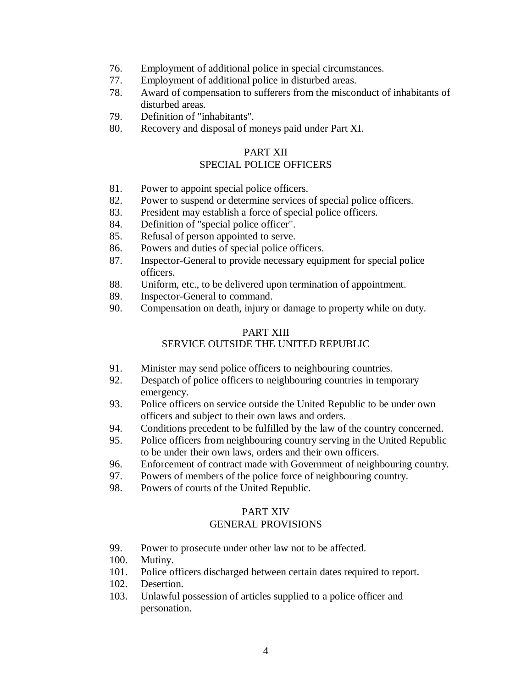- 76. Employment of additional police in special circumstances.
- 77. Employment of additional police in disturbed areas.
- 78. Award of compensation to sufferers from the misconduct of inhabitants of disturbed areas.
- 79. Definition of "inhabitants".
- 80. Recovery and disposal of moneys paid under Part XI.

### PART XII

# SPECIAL POLICE OFFICERS

- 81. Power to appoint special police officers.
- 82. Power to suspend or determine services of special police officers.
- 83. President may establish a force of special police officers.
- 84. Definition of "special police officer".
- 85. Refusal of person appointed to serve.
- 86. Powers and duties of special police officers.
- 87. Inspector-General to provide necessary equipment for special police officers.
- 88. Uniform, etc., to be delivered upon termination of appointment.
- 89. Inspector-General to command.
- 90. Compensation on death, injury or damage to property while on duty.

# PART XIII

# SERVICE OUTSIDE THE UNITED REPUBLIC

- 91. Minister may send police officers to neighbouring countries.
- 92. Despatch of police officers to neighbouring countries in temporary emergency.
- 93. Police officers on service outside the United Republic to be under own officers and subject to their own laws and orders.
- 94. Conditions precedent to be fulfilled by the law of the country concerned.
- 95. Police officers from neighbouring country serving in the United Republic to be under their own laws, orders and their own officers.
- 96. Enforcement of contract made with Government of neighbouring country.
- 97. Powers of members of the police force of neighbouring country.
- 98. Powers of courts of the United Republic.

### PART XIV

### GENERAL PROVISIONS

- 99. Power to prosecute under other law not to be affected.
- 100. Mutiny.
- 101. Police officers discharged between certain dates required to report.
- 102. Desertion.
- 103. Unlawful possession of articles supplied to a police officer and personation.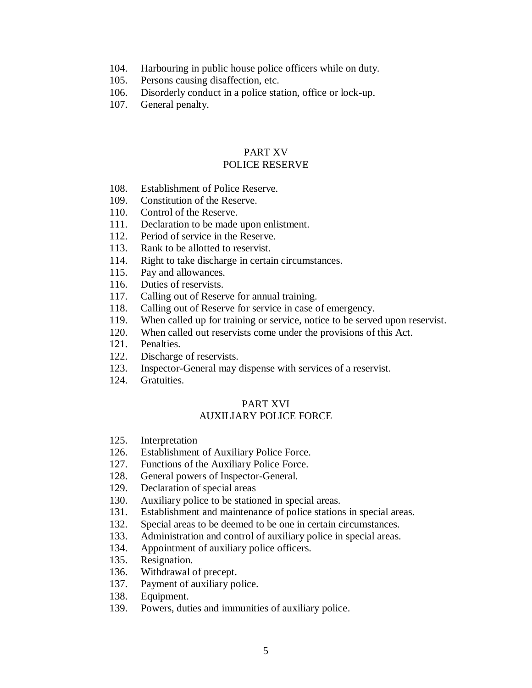- 104. Harbouring in public house police officers while on duty.
- 105. Persons causing disaffection, etc.
- 106. Disorderly conduct in a police station, office or lock-up.
- 107. General penalty.

### PART XV POLICE RESERVE

- 108. Establishment of Police Reserve.
- 109. Constitution of the Reserve.
- 110. Control of the Reserve.
- 111. Declaration to be made upon enlistment.
- 112. Period of service in the Reserve.
- 113. Rank to be allotted to reservist.
- 114. Right to take discharge in certain circumstances.
- 115. Pay and allowances.
- 116. Duties of reservists.
- 117. Calling out of Reserve for annual training.
- 118. Calling out of Reserve for service in case of emergency.
- 119. When called up for training or service, notice to be served upon reservist.
- 120. When called out reservists come under the provisions of this Act.
- 121. Penalties.
- 122. Discharge of reservists.
- 123. Inspector-General may dispense with services of a reservist.
- 124. Gratuities.

### PART XVI AUXILIARY POLICE FORCE

- 125. Interpretation
- 126. Establishment of Auxiliary Police Force.
- 127. Functions of the Auxiliary Police Force.
- 128. General powers of Inspector-General.
- 129. Declaration of special areas
- 130. Auxiliary police to be stationed in special areas.
- 131. Establishment and maintenance of police stations in special areas.
- 132. Special areas to be deemed to be one in certain circumstances.
- 133. Administration and control of auxiliary police in special areas.
- 134. Appointment of auxiliary police officers.
- 135. Resignation.
- 136. Withdrawal of precept.
- 137. Payment of auxiliary police.
- 138. Equipment.
- 139. Powers, duties and immunities of auxiliary police.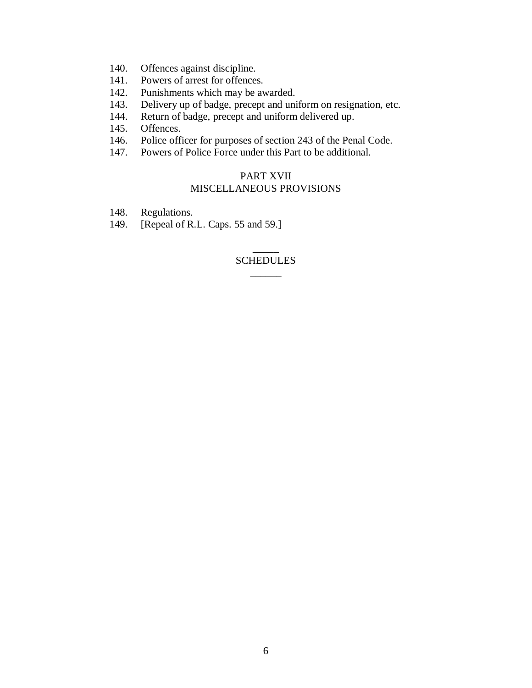- 140. Offences against discipline.
- 141. Powers of arrest for offences.
- 142. Punishments which may be awarded.
- 143. Delivery up of badge, precept and uniform on resignation, etc.
- 144. Return of badge, precept and uniform delivered up.
- 145. Offences.
- 146. Police officer for purposes of section 243 of the Penal Code.
- 147. Powers of Police Force under this Part to be additional.

### PART XVII MISCELLANEOUS PROVISIONS

- 148. Regulations.
- 149. [Repeal of R.L. Caps. 55 and 59.]

### $\overline{\phantom{a}}$ **SCHEDULES** \_\_\_\_\_\_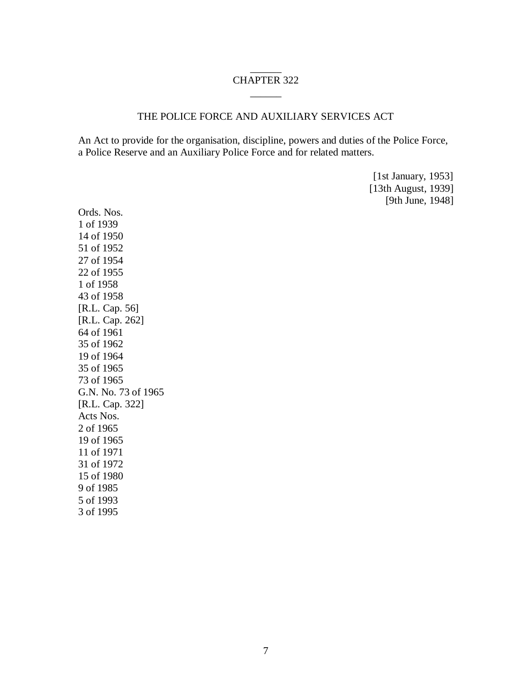### \_\_\_\_\_\_ CHAPTER 322 \_\_\_\_\_\_

### THE POLICE FORCE AND AUXILIARY SERVICES ACT

An Act to provide for the organisation, discipline, powers and duties of the Police Force, a Police Reserve and an Auxiliary Police Force and for related matters.

> [1st January, 1953] [13th August, 1939] [9th June, 1948]

Ords. Nos. 1 of 1939 14 of 1950 51 of 1952 27 of 1954 22 of 1955 1 of 1958 43 of 1958 [R.L. Cap. 56] [R.L. Cap. 262] 64 of 1961 35 of 1962 19 of 1964 35 of 1965 73 of 1965 G.N. No. 73 of 1965 [R.L. Cap. 322] Acts Nos. 2 of 1965 19 of 1965 11 of 1971 31 of 1972 15 of 1980 9 of 1985 5 of 1993 3 of 1995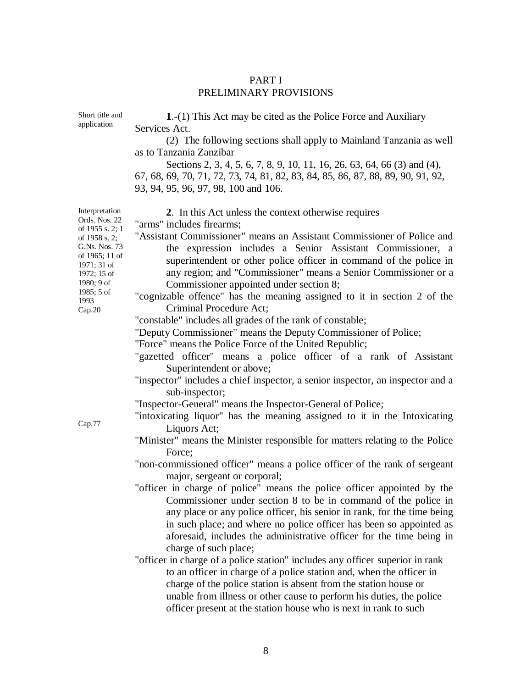### PART I PRELIMINARY PROVISIONS

| Short title and<br>application                                                                                                                                                                 | 1.-(1) This Act may be cited as the Police Force and Auxiliary<br>Services Act.                                                                                                                                                                                                                                                                                                                                                                                                                                                                                                                                                                                                                                                                                                                                                                                                                                                                                                                                                                                                                                                                                                                                                                                                                                                                                                                                                                                                                                                                                                   |
|------------------------------------------------------------------------------------------------------------------------------------------------------------------------------------------------|-----------------------------------------------------------------------------------------------------------------------------------------------------------------------------------------------------------------------------------------------------------------------------------------------------------------------------------------------------------------------------------------------------------------------------------------------------------------------------------------------------------------------------------------------------------------------------------------------------------------------------------------------------------------------------------------------------------------------------------------------------------------------------------------------------------------------------------------------------------------------------------------------------------------------------------------------------------------------------------------------------------------------------------------------------------------------------------------------------------------------------------------------------------------------------------------------------------------------------------------------------------------------------------------------------------------------------------------------------------------------------------------------------------------------------------------------------------------------------------------------------------------------------------------------------------------------------------|
|                                                                                                                                                                                                | (2) The following sections shall apply to Mainland Tanzania as well<br>as to Tanzania Zanzibar-                                                                                                                                                                                                                                                                                                                                                                                                                                                                                                                                                                                                                                                                                                                                                                                                                                                                                                                                                                                                                                                                                                                                                                                                                                                                                                                                                                                                                                                                                   |
|                                                                                                                                                                                                | Sections 2, 3, 4, 5, 6, 7, 8, 9, 10, 11, 16, 26, 63, 64, 66 (3) and (4),<br>67, 68, 69, 70, 71, 72, 73, 74, 81, 82, 83, 84, 85, 86, 87, 88, 89, 90, 91, 92,<br>93, 94, 95, 96, 97, 98, 100 and 106.                                                                                                                                                                                                                                                                                                                                                                                                                                                                                                                                                                                                                                                                                                                                                                                                                                                                                                                                                                                                                                                                                                                                                                                                                                                                                                                                                                               |
| Interpretation<br>Ords. Nos. 22<br>of 1955 s. 2; 1<br>of 1958 s. 2;<br>G.Ns. Nos. 73<br>of 1965; 11 of<br>1971; 31 of<br>1972; 15 of<br>1980; 9 of<br>$1985; 5$ of<br>1993<br>Cap.20<br>Cap.77 | 2. In this Act unless the context otherwise requires–<br>"arms" includes firearms;<br>"Assistant Commissioner" means an Assistant Commissioner of Police and<br>the expression includes a Senior Assistant Commissioner, a<br>superintendent or other police officer in command of the police in<br>any region; and "Commissioner" means a Senior Commissioner or a<br>Commissioner appointed under section 8;<br>"cognizable offence" has the meaning assigned to it in section 2 of the<br>Criminal Procedure Act;<br>"constable" includes all grades of the rank of constable;<br>"Deputy Commissioner" means the Deputy Commissioner of Police;<br>"Force" means the Police Force of the United Republic;<br>"gazetted officer" means a police officer of a rank of Assistant<br>Superintendent or above;<br>"inspector" includes a chief inspector, a senior inspector, an inspector and a<br>sub-inspector;<br>"Inspector-General" means the Inspector-General of Police;<br>"intoxicating liquor" has the meaning assigned to it in the Intoxicating<br>Liquors Act;<br>"Minister" means the Minister responsible for matters relating to the Police<br>Force;<br>"non-commissioned officer" means a police officer of the rank of sergeant<br>major, sergeant or corporal;<br>"officer in charge of police" means the police officer appointed by the<br>Commissioner under section 8 to be in command of the police in<br>any place or any police officer, his senior in rank, for the time being<br>in such place; and where no police officer has been so appointed as |
|                                                                                                                                                                                                | aforesaid, includes the administrative officer for the time being in<br>charge of such place;<br>"officer in charge of a police station" includes any officer superior in rank<br>to an officer in charge of a police station and, when the officer in<br>charge of the police station is absent from the station house or<br>unable from illness or other cause to perform his duties, the police<br>officer present at the station house who is next in rank to such                                                                                                                                                                                                                                                                                                                                                                                                                                                                                                                                                                                                                                                                                                                                                                                                                                                                                                                                                                                                                                                                                                            |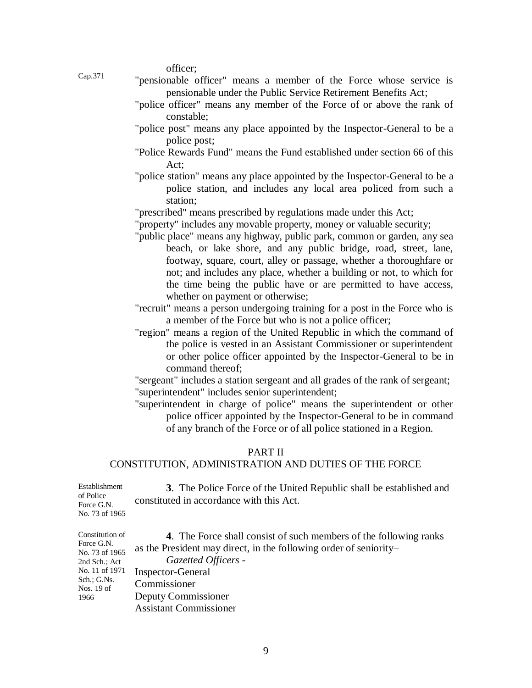officer;

- Cap.371
- "pensionable officer" means a member of the Force whose service is pensionable under the Public Service Retirement Benefits Act;
- "police officer" means any member of the Force of or above the rank of constable;
- "police post" means any place appointed by the Inspector-General to be a police post;
- "Police Rewards Fund" means the Fund established under section 66 of this Act;
- "police station" means any place appointed by the Inspector-General to be a police station, and includes any local area policed from such a station;
- "prescribed" means prescribed by regulations made under this Act;
- "property" includes any movable property, money or valuable security;
- "public place" means any highway, public park, common or garden, any sea beach, or lake shore, and any public bridge, road, street, lane, footway, square, court, alley or passage, whether a thoroughfare or not; and includes any place, whether a building or not, to which for the time being the public have or are permitted to have access, whether on payment or otherwise;
- "recruit" means a person undergoing training for a post in the Force who is a member of the Force but who is not a police officer;
- "region" means a region of the United Republic in which the command of the police is vested in an Assistant Commissioner or superintendent or other police officer appointed by the Inspector-General to be in command thereof;

"sergeant" includes a station sergeant and all grades of the rank of sergeant; "superintendent" includes senior superintendent;

"superintendent in charge of police" means the superintendent or other police officer appointed by the Inspector-General to be in command of any branch of the Force or of all police stationed in a Region.

### PART II

### CONSTITUTION, ADMINISTRATION AND DUTIES OF THE FORCE

| Establishment<br>of Police<br>Force G.N.<br>No. 73 of 1965                                        | 3. The Police Force of the United Republic shall be established and<br>constituted in accordance with this Act.                                                                                                  |
|---------------------------------------------------------------------------------------------------|------------------------------------------------------------------------------------------------------------------------------------------------------------------------------------------------------------------|
| Constitution of<br>Force G.N.<br>No. 73 of 1965<br>2nd Sch.; Act<br>No. 11 of 1971<br>Sch.: G.Ns. | <b>4.</b> The Force shall consist of such members of the following ranks<br>as the President may direct, in the following order of seniority-<br>Gazetted Officers -<br><b>Inspector-General</b><br>Commissioner |
| Nos. $19$ of<br>1966                                                                              | Deputy Commissioner<br>Assistant Commissioner                                                                                                                                                                    |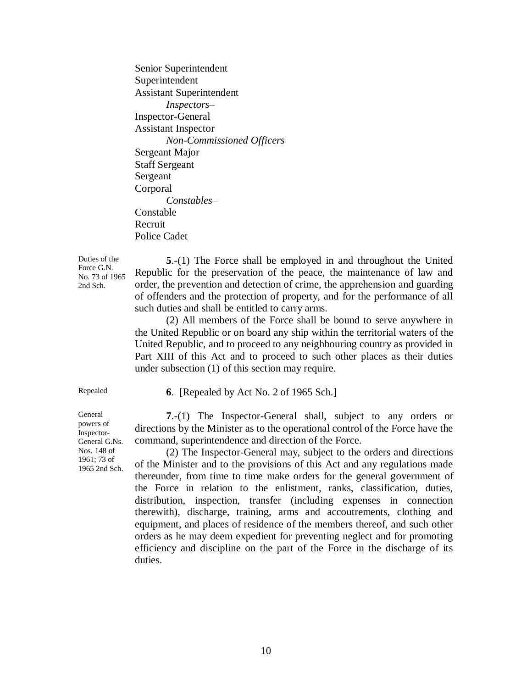Senior Superintendent Superintendent Assistant Superintendent *Inspectors–* Inspector-General Assistant Inspector *Non-Commissioned Officers–* Sergeant Major Staff Sergeant Sergeant Corporal *Constables–* Constable Recruit Police Cadet

Duties of the Force G.N. No. 73 of 1965 2nd Sch.

**5**.-(1) The Force shall be employed in and throughout the United Republic for the preservation of the peace, the maintenance of law and order, the prevention and detection of crime, the apprehension and guarding of offenders and the protection of property, and for the performance of all such duties and shall be entitled to carry arms.

(2) All members of the Force shall be bound to serve anywhere in the United Republic or on board any ship within the territorial waters of the United Republic, and to proceed to any neighbouring country as provided in Part XIII of this Act and to proceed to such other places as their duties under subsection (1) of this section may require.

Repealed **6**. [Repealed by Act No. 2 of 1965 Sch.]

**7**.-(1) The Inspector-General shall, subject to any orders or directions by the Minister as to the operational control of the Force have the command, superintendence and direction of the Force.

(2) The Inspector-General may, subject to the orders and directions of the Minister and to the provisions of this Act and any regulations made thereunder, from time to time make orders for the general government of the Force in relation to the enlistment, ranks, classification, duties, distribution, inspection, transfer (including expenses in connection therewith), discharge, training, arms and accoutrements, clothing and equipment, and places of residence of the members thereof, and such other orders as he may deem expedient for preventing neglect and for promoting efficiency and discipline on the part of the Force in the discharge of its duties.

General powers of Inspector-General G.Ns. Nos. 148 of 1961; 73 of 1965 2nd Sch.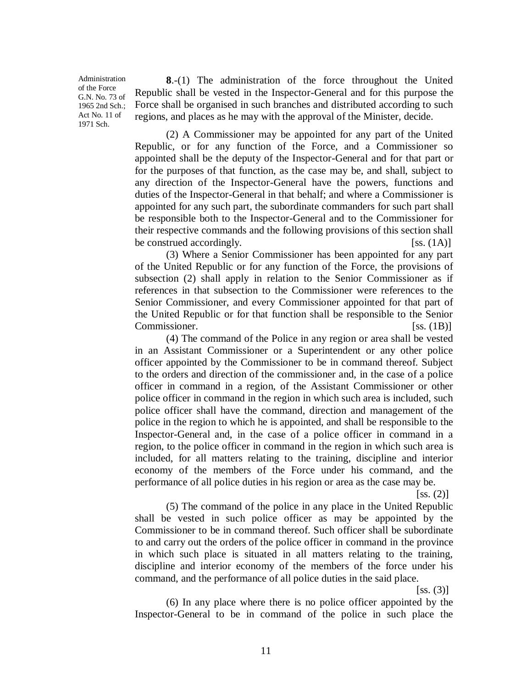Administration of the Force G.N. No. 73 of 1965 2nd Sch.; Act No. 11 of 1971 Sch.

**8**.-(1) The administration of the force throughout the United Republic shall be vested in the Inspector-General and for this purpose the Force shall be organised in such branches and distributed according to such regions, and places as he may with the approval of the Minister, decide.

(2) A Commissioner may be appointed for any part of the United Republic, or for any function of the Force, and a Commissioner so appointed shall be the deputy of the Inspector-General and for that part or for the purposes of that function, as the case may be, and shall, subject to any direction of the Inspector-General have the powers, functions and duties of the Inspector-General in that behalf; and where a Commissioner is appointed for any such part, the subordinate commanders for such part shall be responsible both to the Inspector-General and to the Commissioner for their respective commands and the following provisions of this section shall be construed accordingly.  $[s_s, (1A)]$ 

(3) Where a Senior Commissioner has been appointed for any part of the United Republic or for any function of the Force, the provisions of subsection (2) shall apply in relation to the Senior Commissioner as if references in that subsection to the Commissioner were references to the Senior Commissioner, and every Commissioner appointed for that part of the United Republic or for that function shall be responsible to the Senior Commissioner. [SS. (1B)]

(4) The command of the Police in any region or area shall be vested in an Assistant Commissioner or a Superintendent or any other police officer appointed by the Commissioner to be in command thereof. Subject to the orders and direction of the commissioner and, in the case of a police officer in command in a region, of the Assistant Commissioner or other police officer in command in the region in which such area is included, such police officer shall have the command, direction and management of the police in the region to which he is appointed, and shall be responsible to the Inspector-General and, in the case of a police officer in command in a region, to the police officer in command in the region in which such area is included, for all matters relating to the training, discipline and interior economy of the members of the Force under his command, and the performance of all police duties in his region or area as the case may be.

 $[ss. (2)]$ 

(5) The command of the police in any place in the United Republic shall be vested in such police officer as may be appointed by the Commissioner to be in command thereof. Such officer shall be subordinate to and carry out the orders of the police officer in command in the province in which such place is situated in all matters relating to the training, discipline and interior economy of the members of the force under his command, and the performance of all police duties in the said place.

 $[ss. (3)]$ 

(6) In any place where there is no police officer appointed by the Inspector-General to be in command of the police in such place the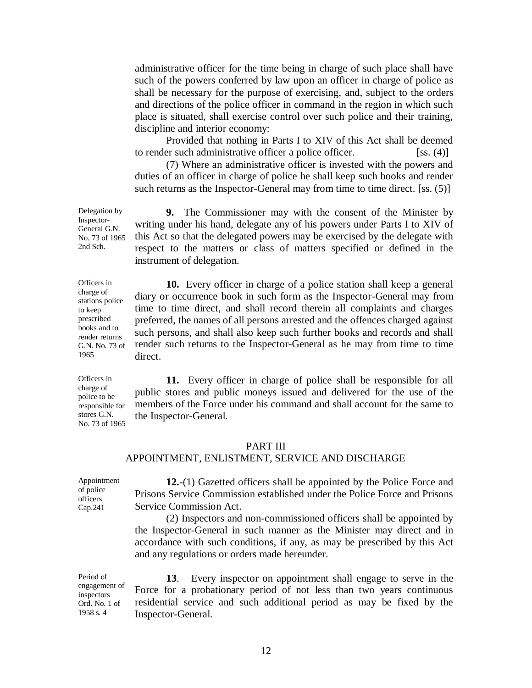administrative officer for the time being in charge of such place shall have such of the powers conferred by law upon an officer in charge of police as shall be necessary for the purpose of exercising, and, subject to the orders and directions of the police officer in command in the region in which such place is situated, shall exercise control over such police and their training, discipline and interior economy:

Provided that nothing in Parts I to XIV of this Act shall be deemed to render such administrative officer a police officer. [ss. (4)]

(7) Where an administrative officer is invested with the powers and duties of an officer in charge of police he shall keep such books and render such returns as the Inspector-General may from time to time direct. [ss. (5)]

**9.** The Commissioner may with the consent of the Minister by writing under his hand, delegate any of his powers under Parts I to XIV of this Act so that the delegated powers may be exercised by the delegate with respect to the matters or class of matters specified or defined in the instrument of delegation.

**10.** Every officer in charge of a police station shall keep a general diary or occurrence book in such form as the Inspector-General may from time to time direct, and shall record therein all complaints and charges preferred, the names of all persons arrested and the offences charged against such persons, and shall also keep such further books and records and shall render such returns to the Inspector-General as he may from time to time direct.

**11.** Every officer in charge of police shall be responsible for all public stores and public moneys issued and delivered for the use of the members of the Force under his command and shall account for the same to the Inspector-General.

### PART III

# APPOINTMENT, ENLISTMENT, SERVICE AND DISCHARGE

Appointment of police officers Cap.241 **12.**-(1) Gazetted officers shall be appointed by the Police Force and Prisons Service Commission established under the Police Force and Prisons Service Commission Act.

(2) Inspectors and non-commissioned officers shall be appointed by the Inspector-General in such manner as the Minister may direct and in accordance with such conditions, if any, as may be prescribed by this Act and any regulations or orders made hereunder.

Period of engagement of inspectors Ord. No. 1 of 1958 s. 4

**13**. Every inspector on appointment shall engage to serve in the Force for a probationary period of not less than two years continuous residential service and such additional period as may be fixed by the Inspector-General.

Delegation by Inspector-General G.N. No. 73 of 1965 2nd Sch.

Officers in charge of stations police to keep prescribed books and to render returns G.N. No. 73 of 1965

Officers in charge of police to be responsible for stores G.N. No. 73 of 1965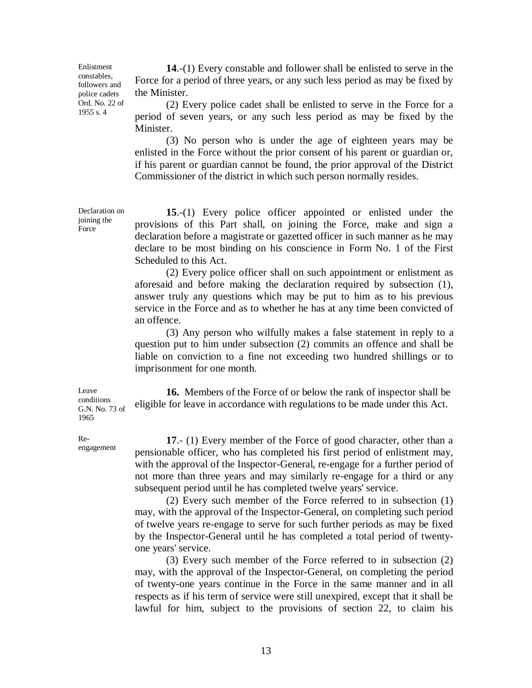Enlistment constables, followers and police cadets Ord. No. 22 of 1955 s. 4

**14**.-(1) Every constable and follower shall be enlisted to serve in the Force for a period of three years, or any such less period as may be fixed by the Minister.

(2) Every police cadet shall be enlisted to serve in the Force for a period of seven years, or any such less period as may be fixed by the Minister.

(3) No person who is under the age of eighteen years may be enlisted in the Force without the prior consent of his parent or guardian or, if his parent or guardian cannot be found, the prior approval of the District Commissioner of the district in which such person normally resides.

**15**.-(1) Every police officer appointed or enlisted under the provisions of this Part shall, on joining the Force, make and sign a declaration before a magistrate or gazetted officer in such manner as he may declare to be most binding on his conscience in Form No. 1 of the First Scheduled to this Act.

(2) Every police officer shall on such appointment or enlistment as aforesaid and before making the declaration required by subsection (1), answer truly any questions which may be put to him as to his previous service in the Force and as to whether he has at any time been convicted of an offence.

(3) Any person who wilfully makes a false statement in reply to a question put to him under subsection (2) commits an offence and shall be liable on conviction to a fine not exceeding two hundred shillings or to imprisonment for one month.

**16.** Members of the Force of or below the rank of inspector shall be eligible for leave in accordance with regulations to be made under this Act.

**17**.- (1) Every member of the Force of good character, other than a pensionable officer, who has completed his first period of enlistment may, with the approval of the Inspector-General, re-engage for a further period of not more than three years and may similarly re-engage for a third or any subsequent period until he has completed twelve years' service.

(2) Every such member of the Force referred to in subsection (1) may, with the approval of the Inspector-General, on completing such period of twelve years re-engage to serve for such further periods as may be fixed by the Inspector-General until he has completed a total period of twentyone years' service.

(3) Every such member of the Force referred to in subsection (2) may, with the approval of the Inspector-General, on completing the period of twenty-one years continue in the Force in the same manner and in all respects as if his term of service were still unexpired, except that it shall be lawful for him, subject to the provisions of section 22, to claim his

Declaration on joining the **Force** 

**Leave** conditions G.N. No. 73 of 1965

Reengagement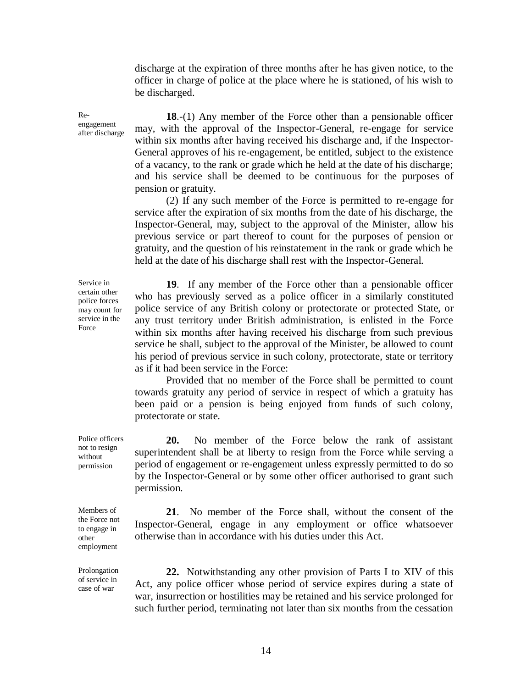discharge at the expiration of three months after he has given notice, to the officer in charge of police at the place where he is stationed, of his wish to be discharged.

**18**.-(1) Any member of the Force other than a pensionable officer may, with the approval of the Inspector-General, re-engage for service within six months after having received his discharge and, if the Inspector-General approves of his re-engagement, be entitled, subject to the existence of a vacancy, to the rank or grade which he held at the date of his discharge; and his service shall be deemed to be continuous for the purposes of pension or gratuity.

(2) If any such member of the Force is permitted to re-engage for service after the expiration of six months from the date of his discharge, the Inspector-General, may, subject to the approval of the Minister, allow his previous service or part thereof to count for the purposes of pension or gratuity, and the question of his reinstatement in the rank or grade which he held at the date of his discharge shall rest with the Inspector-General.

**19**. If any member of the Force other than a pensionable officer who has previously served as a police officer in a similarly constituted police service of any British colony or protectorate or protected State, or any trust territory under British administration, is enlisted in the Force within six months after having received his discharge from such previous service he shall, subject to the approval of the Minister, be allowed to count his period of previous service in such colony, protectorate, state or territory as if it had been service in the Force:

Provided that no member of the Force shall be permitted to count towards gratuity any period of service in respect of which a gratuity has been paid or a pension is being enjoyed from funds of such colony, protectorate or state.

**20.** No member of the Force below the rank of assistant superintendent shall be at liberty to resign from the Force while serving a period of engagement or re-engagement unless expressly permitted to do so by the Inspector-General or by some other officer authorised to grant such permission.

**21**. No member of the Force shall, without the consent of the Inspector-General, engage in any employment or office whatsoever otherwise than in accordance with his duties under this Act.

**22.** Notwithstanding any other provision of Parts I to XIV of this Act, any police officer whose period of service expires during a state of war, insurrection or hostilities may be retained and his service prolonged for such further period, terminating not later than six months from the cessation

Service in certain other police forces may count for service in the Force

Reengagement after discharge

Police officers not to resign without permission

Members of the Force not to engage in other employment

Prolongation of service in case of war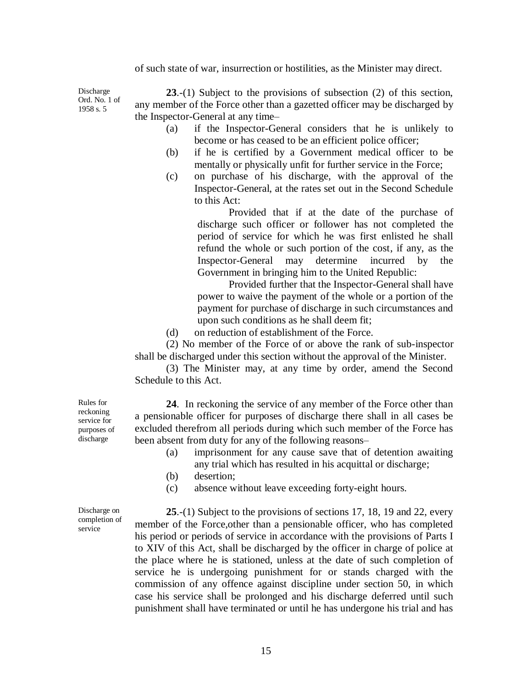of such state of war, insurrection or hostilities, as the Minister may direct.

Discharge Ord. No. 1 of 1958 s. 5

**23**.-(1) Subject to the provisions of subsection (2) of this section, any member of the Force other than a gazetted officer may be discharged by the Inspector-General at any time–

- (a) if the Inspector-General considers that he is unlikely to become or has ceased to be an efficient police officer;
- (b) if he is certified by a Government medical officer to be mentally or physically unfit for further service in the Force;
- (c) on purchase of his discharge, with the approval of the Inspector-General, at the rates set out in the Second Schedule to this Act:

Provided that if at the date of the purchase of discharge such officer or follower has not completed the period of service for which he was first enlisted he shall refund the whole or such portion of the cost, if any, as the Inspector-General may determine incurred by the Government in bringing him to the United Republic:

Provided further that the Inspector-General shall have power to waive the payment of the whole or a portion of the payment for purchase of discharge in such circumstances and upon such conditions as he shall deem fit;

(d) on reduction of establishment of the Force.

(2) No member of the Force of or above the rank of sub-inspector shall be discharged under this section without the approval of the Minister.

(3) The Minister may, at any time by order, amend the Second Schedule to this Act.

**24**. In reckoning the service of any member of the Force other than a pensionable officer for purposes of discharge there shall in all cases be excluded therefrom all periods during which such member of the Force has been absent from duty for any of the following reasons–

- (a) imprisonment for any cause save that of detention awaiting any trial which has resulted in his acquittal or discharge;
- (b) desertion;
- (c) absence without leave exceeding forty-eight hours.

Discharge on completion of service

**25**.-(1) Subject to the provisions of sections 17, 18, 19 and 22, every member of the Force,other than a pensionable officer, who has completed his period or periods of service in accordance with the provisions of Parts I to XIV of this Act, shall be discharged by the officer in charge of police at the place where he is stationed, unless at the date of such completion of service he is undergoing punishment for or stands charged with the commission of any offence against discipline under section 50, in which case his service shall be prolonged and his discharge deferred until such punishment shall have terminated or until he has undergone his trial and has

Rules for reckoning service for purposes of discharge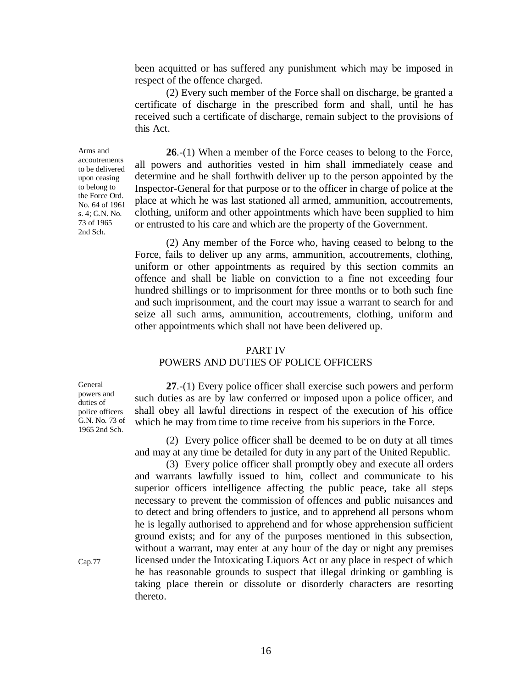been acquitted or has suffered any punishment which may be imposed in respect of the offence charged.

(2) Every such member of the Force shall on discharge, be granted a certificate of discharge in the prescribed form and shall, until he has received such a certificate of discharge, remain subject to the provisions of this Act.

**26**.-(1) When a member of the Force ceases to belong to the Force, all powers and authorities vested in him shall immediately cease and determine and he shall forthwith deliver up to the person appointed by the Inspector-General for that purpose or to the officer in charge of police at the place at which he was last stationed all armed, ammunition, accoutrements, clothing, uniform and other appointments which have been supplied to him or entrusted to his care and which are the property of the Government.

(2) Any member of the Force who, having ceased to belong to the Force, fails to deliver up any arms, ammunition, accoutrements, clothing, uniform or other appointments as required by this section commits an offence and shall be liable on conviction to a fine not exceeding four hundred shillings or to imprisonment for three months or to both such fine and such imprisonment, and the court may issue a warrant to search for and seize all such arms, ammunition, accoutrements, clothing, uniform and other appointments which shall not have been delivered up.

### PART IV

### POWERS AND DUTIES OF POLICE OFFICERS

General powers and duties of police officers G.N. No. 73 of 1965 2nd Sch.

**27**.-(1) Every police officer shall exercise such powers and perform such duties as are by law conferred or imposed upon a police officer, and shall obey all lawful directions in respect of the execution of his office which he may from time to time receive from his superiors in the Force.

(2) Every police officer shall be deemed to be on duty at all times and may at any time be detailed for duty in any part of the United Republic.

(3) Every police officer shall promptly obey and execute all orders and warrants lawfully issued to him, collect and communicate to his superior officers intelligence affecting the public peace, take all steps necessary to prevent the commission of offences and public nuisances and to detect and bring offenders to justice, and to apprehend all persons whom he is legally authorised to apprehend and for whose apprehension sufficient ground exists; and for any of the purposes mentioned in this subsection, without a warrant, may enter at any hour of the day or night any premises licensed under the Intoxicating Liquors Act or any place in respect of which he has reasonable grounds to suspect that illegal drinking or gambling is taking place therein or dissolute or disorderly characters are resorting thereto.

Arms and accoutrements to be delivered upon ceasing to belong to the Force Ord. No. 64 of 1961 s. 4; G.N. No. 73 of 1965 2nd Sch.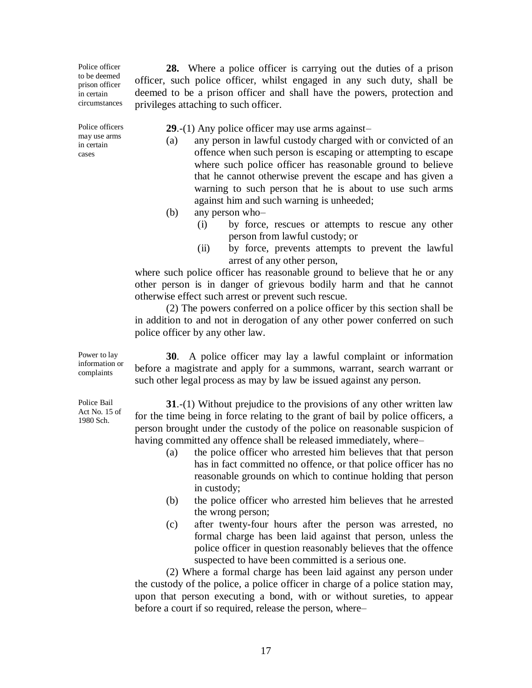Police officer to be deemed prison officer in certain circumstances

Police officers may use arms in certain cases

**29**.-(1) Any police officer may use arms against–

(a) any person in lawful custody charged with or convicted of an offence when such person is escaping or attempting to escape where such police officer has reasonable ground to believe that he cannot otherwise prevent the escape and has given a warning to such person that he is about to use such arms against him and such warning is unheeded;

**28.** Where a police officer is carrying out the duties of a prison

officer, such police officer, whilst engaged in any such duty, shall be deemed to be a prison officer and shall have the powers, protection and

(b) any person who–

privileges attaching to such officer.

- (i) by force, rescues or attempts to rescue any other person from lawful custody; or
- (ii) by force, prevents attempts to prevent the lawful arrest of any other person,

where such police officer has reasonable ground to believe that he or any other person is in danger of grievous bodily harm and that he cannot otherwise effect such arrest or prevent such rescue.

(2) The powers conferred on a police officer by this section shall be in addition to and not in derogation of any other power conferred on such police officer by any other law.

**30**. A police officer may lay a lawful complaint or information before a magistrate and apply for a summons, warrant, search warrant or such other legal process as may by law be issued against any person.

**31**.-(1) Without prejudice to the provisions of any other written law for the time being in force relating to the grant of bail by police officers, a person brought under the custody of the police on reasonable suspicion of having committed any offence shall be released immediately, where–

- (a) the police officer who arrested him believes that that person has in fact committed no offence, or that police officer has no reasonable grounds on which to continue holding that person in custody;
- (b) the police officer who arrested him believes that he arrested the wrong person;
- (c) after twenty-four hours after the person was arrested, no formal charge has been laid against that person, unless the police officer in question reasonably believes that the offence suspected to have been committed is a serious one.

(2) Where a formal charge has been laid against any person under the custody of the police, a police officer in charge of a police station may, upon that person executing a bond, with or without sureties, to appear before a court if so required, release the person, where–

Power to lay information or complaints

Police Bail Act No. 15 of 1980 Sch.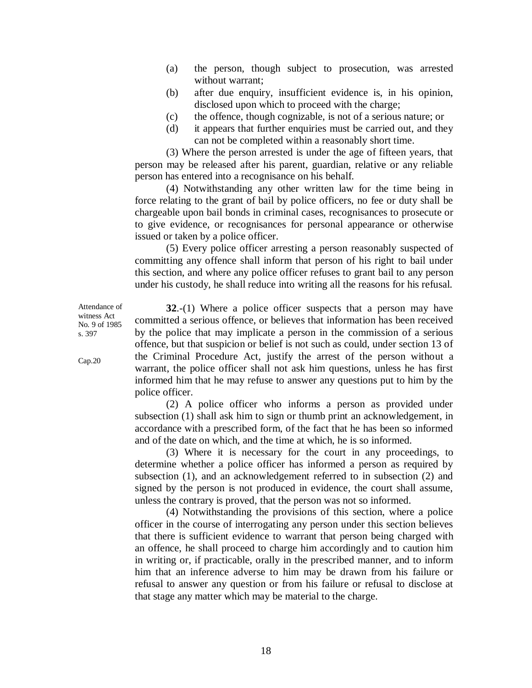- (a) the person, though subject to prosecution, was arrested without warrant;
- (b) after due enquiry, insufficient evidence is, in his opinion, disclosed upon which to proceed with the charge;
- (c) the offence, though cognizable, is not of a serious nature; or
- (d) it appears that further enquiries must be carried out, and they can not be completed within a reasonably short time.

(3) Where the person arrested is under the age of fifteen years, that person may be released after his parent, guardian, relative or any reliable person has entered into a recognisance on his behalf.

(4) Notwithstanding any other written law for the time being in force relating to the grant of bail by police officers, no fee or duty shall be chargeable upon bail bonds in criminal cases, recognisances to prosecute or to give evidence, or recognisances for personal appearance or otherwise issued or taken by a police officer.

(5) Every police officer arresting a person reasonably suspected of committing any offence shall inform that person of his right to bail under this section, and where any police officer refuses to grant bail to any person under his custody, he shall reduce into writing all the reasons for his refusal.

**32**.-(1) Where a police officer suspects that a person may have committed a serious offence, or believes that information has been received by the police that may implicate a person in the commission of a serious offence, but that suspicion or belief is not such as could, under section 13 of the Criminal Procedure Act, justify the arrest of the person without a warrant, the police officer shall not ask him questions, unless he has first informed him that he may refuse to answer any questions put to him by the police officer.

(2) A police officer who informs a person as provided under subsection (1) shall ask him to sign or thumb print an acknowledgement, in accordance with a prescribed form, of the fact that he has been so informed and of the date on which, and the time at which, he is so informed.

(3) Where it is necessary for the court in any proceedings, to determine whether a police officer has informed a person as required by subsection (1), and an acknowledgement referred to in subsection (2) and signed by the person is not produced in evidence, the court shall assume, unless the contrary is proved, that the person was not so informed.

(4) Notwithstanding the provisions of this section, where a police officer in the course of interrogating any person under this section believes that there is sufficient evidence to warrant that person being charged with an offence, he shall proceed to charge him accordingly and to caution him in writing or, if practicable, orally in the prescribed manner, and to inform him that an inference adverse to him may be drawn from his failure or refusal to answer any question or from his failure or refusal to disclose at that stage any matter which may be material to the charge.

Attendance of witness Act No. 9 of 1985 s. 397

Cap.20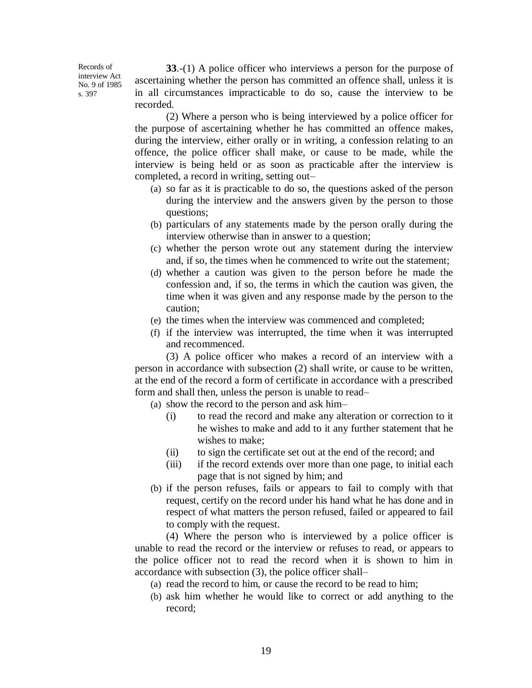Records of interview Act No. 9 of 1985 s. 397

**33**.-(1) A police officer who interviews a person for the purpose of ascertaining whether the person has committed an offence shall, unless it is in all circumstances impracticable to do so, cause the interview to be recorded.

(2) Where a person who is being interviewed by a police officer for the purpose of ascertaining whether he has committed an offence makes, during the interview, either orally or in writing, a confession relating to an offence, the police officer shall make, or cause to be made, while the interview is being held or as soon as practicable after the interview is completed, a record in writing, setting out–

- (a) so far as it is practicable to do so, the questions asked of the person during the interview and the answers given by the person to those questions;
- (b) particulars of any statements made by the person orally during the interview otherwise than in answer to a question;
- (c) whether the person wrote out any statement during the interview and, if so, the times when he commenced to write out the statement;
- (d) whether a caution was given to the person before he made the confession and, if so, the terms in which the caution was given, the time when it was given and any response made by the person to the caution;
- (e) the times when the interview was commenced and completed;
- (f) if the interview was interrupted, the time when it was interrupted and recommenced.

(3) A police officer who makes a record of an interview with a person in accordance with subsection (2) shall write, or cause to be written, at the end of the record a form of certificate in accordance with a prescribed form and shall then, unless the person is unable to read–

- (a) show the record to the person and ask him–
	- (i) to read the record and make any alteration or correction to it he wishes to make and add to it any further statement that he wishes to make;
	- (ii) to sign the certificate set out at the end of the record; and
	- (iii) if the record extends over more than one page, to initial each page that is not signed by him; and
- (b) if the person refuses, fails or appears to fail to comply with that request, certify on the record under his hand what he has done and in respect of what matters the person refused, failed or appeared to fail to comply with the request.

(4) Where the person who is interviewed by a police officer is unable to read the record or the interview or refuses to read, or appears to the police officer not to read the record when it is shown to him in accordance with subsection (3), the police officer shall–

- (a) read the record to him, or cause the record to be read to him;
- (b) ask him whether he would like to correct or add anything to the record;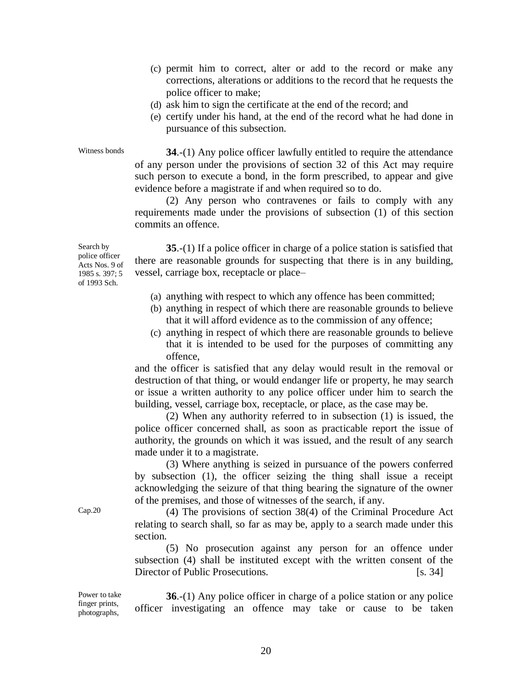- (c) permit him to correct, alter or add to the record or make any corrections, alterations or additions to the record that he requests the police officer to make;
- (d) ask him to sign the certificate at the end of the record; and
- (e) certify under his hand, at the end of the record what he had done in pursuance of this subsection.

Witness bonds **34.-(1)** Any police officer lawfully entitled to require the attendance of any person under the provisions of section 32 of this Act may require such person to execute a bond, in the form prescribed, to appear and give evidence before a magistrate if and when required so to do.

> (2) Any person who contravenes or fails to comply with any requirements made under the provisions of subsection (1) of this section commits an offence.

Search by police officer Acts Nos. 9 of 1985 s. 397; 5 of 1993 Sch.

**35**.-(1) If a police officer in charge of a police station is satisfied that there are reasonable grounds for suspecting that there is in any building, vessel, carriage box, receptacle or place–

- (a) anything with respect to which any offence has been committed;
- (b) anything in respect of which there are reasonable grounds to believe that it will afford evidence as to the commission of any offence;
- (c) anything in respect of which there are reasonable grounds to believe that it is intended to be used for the purposes of committing any offence,

and the officer is satisfied that any delay would result in the removal or destruction of that thing, or would endanger life or property, he may search or issue a written authority to any police officer under him to search the building, vessel, carriage box, receptacle, or place, as the case may be.

(2) When any authority referred to in subsection (1) is issued, the police officer concerned shall, as soon as practicable report the issue of authority, the grounds on which it was issued, and the result of any search made under it to a magistrate.

(3) Where anything is seized in pursuance of the powers conferred by subsection (1), the officer seizing the thing shall issue a receipt acknowledging the seizure of that thing bearing the signature of the owner of the premises, and those of witnesses of the search, if any.

Cap.20 (4) The provisions of section 38(4) of the Criminal Procedure Act relating to search shall, so far as may be, apply to a search made under this section.

> (5) No prosecution against any person for an offence under subsection (4) shall be instituted except with the written consent of the Director of Public Prosecutions. [s. 34]

Power to take finger prints, photographs, **36**.-(1) Any police officer in charge of a police station or any police officer investigating an offence may take or cause to be taken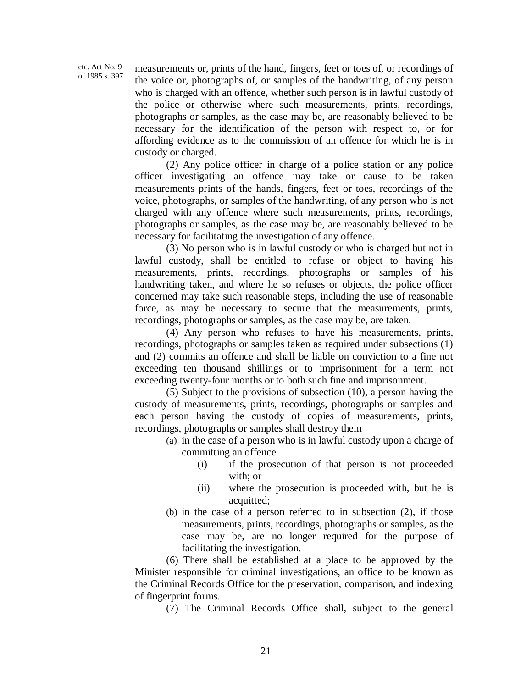etc. Act No. 9 of 1985 s. 397 measurements or, prints of the hand, fingers, feet or toes of, or recordings of the voice or, photographs of, or samples of the handwriting, of any person who is charged with an offence, whether such person is in lawful custody of the police or otherwise where such measurements, prints, recordings, photographs or samples, as the case may be, are reasonably believed to be necessary for the identification of the person with respect to, or for affording evidence as to the commission of an offence for which he is in custody or charged.

(2) Any police officer in charge of a police station or any police officer investigating an offence may take or cause to be taken measurements prints of the hands, fingers, feet or toes, recordings of the voice, photographs, or samples of the handwriting, of any person who is not charged with any offence where such measurements, prints, recordings, photographs or samples, as the case may be, are reasonably believed to be necessary for facilitating the investigation of any offence.

(3) No person who is in lawful custody or who is charged but not in lawful custody, shall be entitled to refuse or object to having his measurements, prints, recordings, photographs or samples of his handwriting taken, and where he so refuses or objects, the police officer concerned may take such reasonable steps, including the use of reasonable force, as may be necessary to secure that the measurements, prints, recordings, photographs or samples, as the case may be, are taken.

(4) Any person who refuses to have his measurements, prints, recordings, photographs or samples taken as required under subsections (1) and (2) commits an offence and shall be liable on conviction to a fine not exceeding ten thousand shillings or to imprisonment for a term not exceeding twenty-four months or to both such fine and imprisonment.

(5) Subject to the provisions of subsection (10), a person having the custody of measurements, prints, recordings, photographs or samples and each person having the custody of copies of measurements, prints, recordings, photographs or samples shall destroy them–

- (a) in the case of a person who is in lawful custody upon a charge of committing an offence–
	- (i) if the prosecution of that person is not proceeded with; or
	- (ii) where the prosecution is proceeded with, but he is acquitted;
- (b) in the case of a person referred to in subsection (2), if those measurements, prints, recordings, photographs or samples, as the case may be, are no longer required for the purpose of facilitating the investigation.

(6) There shall be established at a place to be approved by the Minister responsible for criminal investigations, an office to be known as the Criminal Records Office for the preservation, comparison, and indexing of fingerprint forms.

(7) The Criminal Records Office shall, subject to the general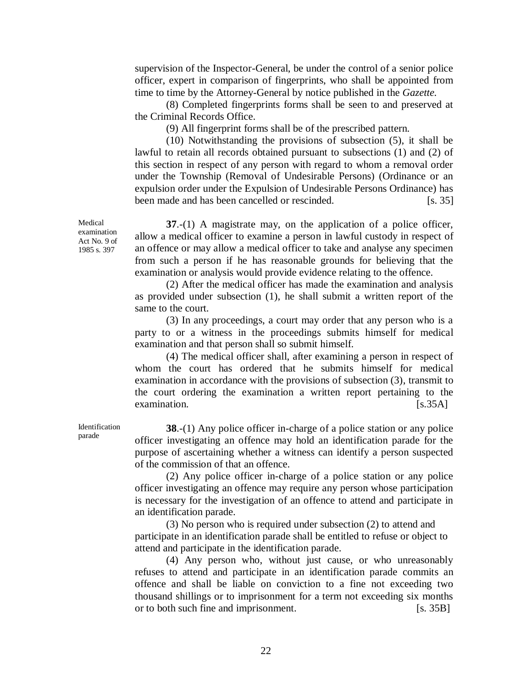supervision of the Inspector-General, be under the control of a senior police officer, expert in comparison of fingerprints, who shall be appointed from time to time by the Attorney-General by notice published in the *Gazette.*

(8) Completed fingerprints forms shall be seen to and preserved at the Criminal Records Office.

(9) All fingerprint forms shall be of the prescribed pattern.

(10) Notwithstanding the provisions of subsection (5), it shall be lawful to retain all records obtained pursuant to subsections (1) and (2) of this section in respect of any person with regard to whom a removal order under the Township (Removal of Undesirable Persons) (Ordinance or an expulsion order under the Expulsion of Undesirable Persons Ordinance) has been made and has been cancelled or rescinded. [s. 35]

**37**.-(1) A magistrate may, on the application of a police officer, allow a medical officer to examine a person in lawful custody in respect of an offence or may allow a medical officer to take and analyse any specimen from such a person if he has reasonable grounds for believing that the examination or analysis would provide evidence relating to the offence.

(2) After the medical officer has made the examination and analysis as provided under subsection (1), he shall submit a written report of the same to the court.

(3) In any proceedings, a court may order that any person who is a party to or a witness in the proceedings submits himself for medical examination and that person shall so submit himself.

(4) The medical officer shall, after examining a person in respect of whom the court has ordered that he submits himself for medical examination in accordance with the provisions of subsection (3), transmit to the court ordering the examination a written report pertaining to the examination. [s.35A]

**38**.-(1) Any police officer in-charge of a police station or any police officer investigating an offence may hold an identification parade for the purpose of ascertaining whether a witness can identify a person suspected of the commission of that an offence.

(2) Any police officer in-charge of a police station or any police officer investigating an offence may require any person whose participation is necessary for the investigation of an offence to attend and participate in an identification parade.

(3) No person who is required under subsection (2) to attend and participate in an identification parade shall be entitled to refuse or object to attend and participate in the identification parade.

(4) Any person who, without just cause, or who unreasonably refuses to attend and participate in an identification parade commits an offence and shall be liable on conviction to a fine not exceeding two thousand shillings or to imprisonment for a term not exceeding six months or to both such fine and imprisonment. [s. 35B]

Medical examination Act No. 9 of 1985 s. 397

Identification parade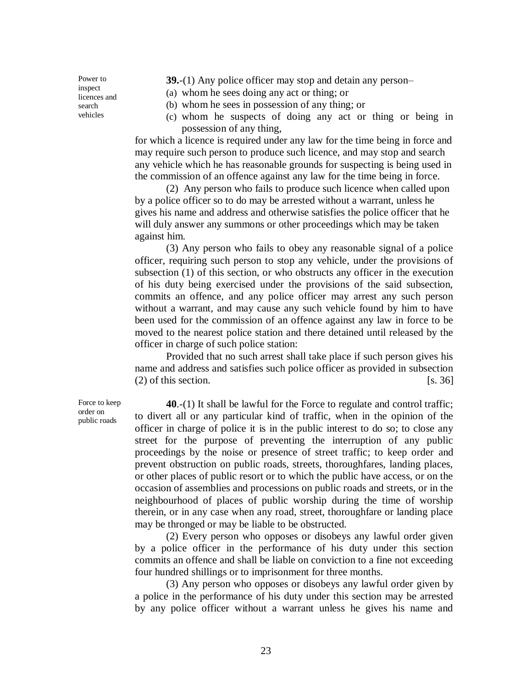**39.**-(1) Any police officer may stop and detain any person–

(a) whom he sees doing any act or thing; or

(b) whom he sees in possession of any thing; or

(c) whom he suspects of doing any act or thing or being in possession of any thing,

for which a licence is required under any law for the time being in force and may require such person to produce such licence, and may stop and search any vehicle which he has reasonable grounds for suspecting is being used in the commission of an offence against any law for the time being in force.

(2) Any person who fails to produce such licence when called upon by a police officer so to do may be arrested without a warrant, unless he gives his name and address and otherwise satisfies the police officer that he will duly answer any summons or other proceedings which may be taken against him.

(3) Any person who fails to obey any reasonable signal of a police officer, requiring such person to stop any vehicle, under the provisions of subsection (1) of this section, or who obstructs any officer in the execution of his duty being exercised under the provisions of the said subsection, commits an offence, and any police officer may arrest any such person without a warrant, and may cause any such vehicle found by him to have been used for the commission of an offence against any law in force to be moved to the nearest police station and there detained until released by the officer in charge of such police station:

Provided that no such arrest shall take place if such person gives his name and address and satisfies such police officer as provided in subsection  $(2)$  of this section. [s. 36]

**40**.-(1) It shall be lawful for the Force to regulate and control traffic; to divert all or any particular kind of traffic, when in the opinion of the officer in charge of police it is in the public interest to do so; to close any street for the purpose of preventing the interruption of any public proceedings by the noise or presence of street traffic; to keep order and prevent obstruction on public roads, streets, thoroughfares, landing places, or other places of public resort or to which the public have access, or on the occasion of assemblies and processions on public roads and streets, or in the neighbourhood of places of public worship during the time of worship therein, or in any case when any road, street, thoroughfare or landing place may be thronged or may be liable to be obstructed.

(2) Every person who opposes or disobeys any lawful order given by a police officer in the performance of his duty under this section commits an offence and shall be liable on conviction to a fine not exceeding four hundred shillings or to imprisonment for three months.

(3) Any person who opposes or disobeys any lawful order given by a police in the performance of his duty under this section may be arrested by any police officer without a warrant unless he gives his name and

Force to keep order on public roads

Power to inspect licences and search vehicles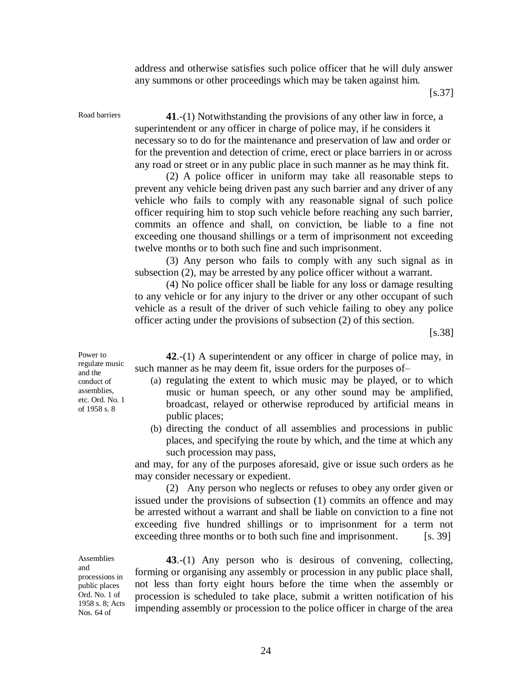address and otherwise satisfies such police officer that he will duly answer any summons or other proceedings which may be taken against him.

 $\left[$ s.37 $\right]$ 

Road barriers **41**.-(1) Notwithstanding the provisions of any other law in force, a

superintendent or any officer in charge of police may, if he considers it necessary so to do for the maintenance and preservation of law and order or for the prevention and detection of crime, erect or place barriers in or across any road or street or in any public place in such manner as he may think fit.

(2) A police officer in uniform may take all reasonable steps to prevent any vehicle being driven past any such barrier and any driver of any vehicle who fails to comply with any reasonable signal of such police officer requiring him to stop such vehicle before reaching any such barrier, commits an offence and shall, on conviction, be liable to a fine not exceeding one thousand shillings or a term of imprisonment not exceeding twelve months or to both such fine and such imprisonment.

(3) Any person who fails to comply with any such signal as in subsection (2), may be arrested by any police officer without a warrant.

(4) No police officer shall be liable for any loss or damage resulting to any vehicle or for any injury to the driver or any other occupant of such vehicle as a result of the driver of such vehicle failing to obey any police officer acting under the provisions of subsection (2) of this section.

[s.38]

**42**.-(1) A superintendent or any officer in charge of police may, in such manner as he may deem fit, issue orders for the purposes of–

- (a) regulating the extent to which music may be played, or to which music or human speech, or any other sound may be amplified, broadcast, relayed or otherwise reproduced by artificial means in public places;
- (b) directing the conduct of all assemblies and processions in public places, and specifying the route by which, and the time at which any such procession may pass,

and may, for any of the purposes aforesaid, give or issue such orders as he may consider necessary or expedient.

(2) Any person who neglects or refuses to obey any order given or issued under the provisions of subsection (1) commits an offence and may be arrested without a warrant and shall be liable on conviction to a fine not exceeding five hundred shillings or to imprisonment for a term not exceeding three months or to both such fine and imprisonment. [s. 39]

### **Assemblies** and

processions in public places Ord. No. 1 of 1958 s. 8; Acts Nos. 64 of

**43**.-(1) Any person who is desirous of convening, collecting, forming or organising any assembly or procession in any public place shall, not less than forty eight hours before the time when the assembly or procession is scheduled to take place, submit a written notification of his impending assembly or procession to the police officer in charge of the area

Power to regulate music and the conduct of assemblies, etc. Ord. No. 1 of 1958 s. 8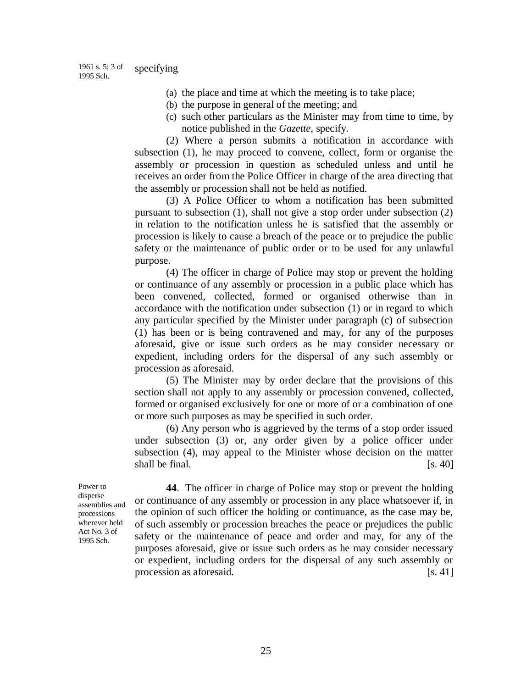1961 s. 5; 3 of 1995 Sch. specifying–

- (a) the place and time at which the meeting is to take place;
- (b) the purpose in general of the meeting; and
- (c) such other particulars as the Minister may from time to time, by notice published in the *Gazette,* specify.

(2) Where a person submits a notification in accordance with subsection (1), he may proceed to convene, collect, form or organise the assembly or procession in question as scheduled unless and until he receives an order from the Police Officer in charge of the area directing that the assembly or procession shall not be held as notified.

(3) A Police Officer to whom a notification has been submitted pursuant to subsection (1), shall not give a stop order under subsection (2) in relation to the notification unless he is satisfied that the assembly or procession is likely to cause a breach of the peace or to prejudice the public safety or the maintenance of public order or to be used for any unlawful purpose.

(4) The officer in charge of Police may stop or prevent the holding or continuance of any assembly or procession in a public place which has been convened, collected, formed or organised otherwise than in accordance with the notification under subsection (1) or in regard to which any particular specified by the Minister under paragraph (c) of subsection (1) has been or is being contravened and may, for any of the purposes aforesaid, give or issue such orders as he may consider necessary or expedient, including orders for the dispersal of any such assembly or procession as aforesaid.

(5) The Minister may by order declare that the provisions of this section shall not apply to any assembly or procession convened, collected, formed or organised exclusively for one or more of or a combination of one or more such purposes as may be specified in such order.

(6) Any person who is aggrieved by the terms of a stop order issued under subsection (3) or, any order given by a police officer under subsection (4), may appeal to the Minister whose decision on the matter shall be final.  $[s. 40]$ 

Power to disperse assemblies and processions wherever held Act No. 3 of 1995 Sch.

**44**. The officer in charge of Police may stop or prevent the holding or continuance of any assembly or procession in any place whatsoever if, in the opinion of such officer the holding or continuance, as the case may be, of such assembly or procession breaches the peace or prejudices the public safety or the maintenance of peace and order and may, for any of the purposes aforesaid, give or issue such orders as he may consider necessary or expedient, including orders for the dispersal of any such assembly or procession as aforesaid. [s. 41]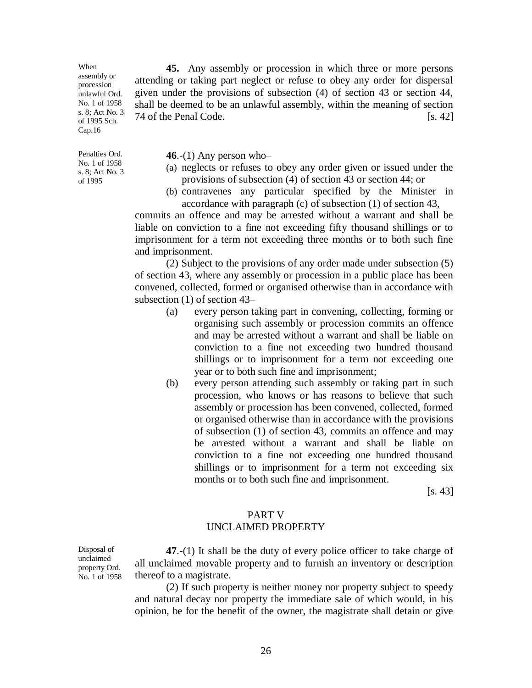When assembly or procession unlawful Ord. No. 1 of 1958 s. 8; Act No. 3 of 1995 Sch. Cap.16

Penalties Ord. No. 1 of 1958 s. 8; Act No. 3 of 1995

Disposal of unclaimed

**46**.-(1) Any person who–

(a) neglects or refuses to obey any order given or issued under the provisions of subsection (4) of section 43 or section 44; or

**45.** Any assembly or procession in which three or more persons

attending or taking part neglect or refuse to obey any order for dispersal given under the provisions of subsection (4) of section 43 or section 44, shall be deemed to be an unlawful assembly, within the meaning of section  $74$  of the Penal Code.  $\left[ \text{s. } 42 \right]$ 

(b) contravenes any particular specified by the Minister in accordance with paragraph (c) of subsection (1) of section 43,

commits an offence and may be arrested without a warrant and shall be liable on conviction to a fine not exceeding fifty thousand shillings or to imprisonment for a term not exceeding three months or to both such fine and imprisonment.

(2) Subject to the provisions of any order made under subsection (5) of section 43, where any assembly or procession in a public place has been convened, collected, formed or organised otherwise than in accordance with subsection (1) of section 43–

- (a) every person taking part in convening, collecting, forming or organising such assembly or procession commits an offence and may be arrested without a warrant and shall be liable on conviction to a fine not exceeding two hundred thousand shillings or to imprisonment for a term not exceeding one year or to both such fine and imprisonment;
- (b) every person attending such assembly or taking part in such procession, who knows or has reasons to believe that such assembly or procession has been convened, collected, formed or organised otherwise than in accordance with the provisions of subsection (1) of section 43, commits an offence and may be arrested without a warrant and shall be liable on conviction to a fine not exceeding one hundred thousand shillings or to imprisonment for a term not exceeding six months or to both such fine and imprisonment.

 $[s. 43]$ 

### PART V UNCLAIMED PROPERTY

property Ord. No. 1 of 1958 **47**.-(1) It shall be the duty of every police officer to take charge of all unclaimed movable property and to furnish an inventory or description thereof to a magistrate.

(2) If such property is neither money nor property subject to speedy and natural decay nor property the immediate sale of which would, in his opinion, be for the benefit of the owner, the magistrate shall detain or give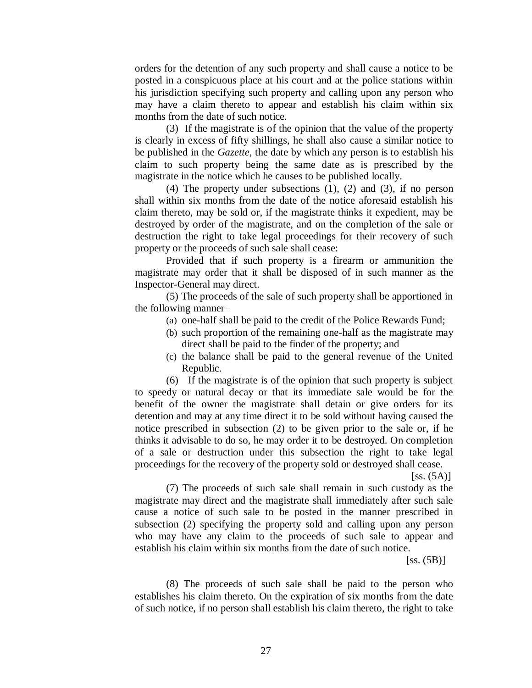orders for the detention of any such property and shall cause a notice to be posted in a conspicuous place at his court and at the police stations within his jurisdiction specifying such property and calling upon any person who may have a claim thereto to appear and establish his claim within six months from the date of such notice.

(3) If the magistrate is of the opinion that the value of the property is clearly in excess of fifty shillings, he shall also cause a similar notice to be published in the *Gazette,* the date by which any person is to establish his claim to such property being the same date as is prescribed by the magistrate in the notice which he causes to be published locally.

(4) The property under subsections (1), (2) and (3), if no person shall within six months from the date of the notice aforesaid establish his claim thereto, may be sold or, if the magistrate thinks it expedient, may be destroyed by order of the magistrate, and on the completion of the sale or destruction the right to take legal proceedings for their recovery of such property or the proceeds of such sale shall cease:

Provided that if such property is a firearm or ammunition the magistrate may order that it shall be disposed of in such manner as the Inspector-General may direct.

(5) The proceeds of the sale of such property shall be apportioned in the following manner–

- (a) one-half shall be paid to the credit of the Police Rewards Fund;
- (b) such proportion of the remaining one-half as the magistrate may direct shall be paid to the finder of the property; and
- (c) the balance shall be paid to the general revenue of the United Republic.

(6) If the magistrate is of the opinion that such property is subject to speedy or natural decay or that its immediate sale would be for the benefit of the owner the magistrate shall detain or give orders for its detention and may at any time direct it to be sold without having caused the notice prescribed in subsection (2) to be given prior to the sale or, if he thinks it advisable to do so, he may order it to be destroyed. On completion of a sale or destruction under this subsection the right to take legal proceedings for the recovery of the property sold or destroyed shall cease.

 $[ss. (5A)]$ 

(7) The proceeds of such sale shall remain in such custody as the magistrate may direct and the magistrate shall immediately after such sale cause a notice of such sale to be posted in the manner prescribed in subsection (2) specifying the property sold and calling upon any person who may have any claim to the proceeds of such sale to appear and establish his claim within six months from the date of such notice.

 $[ss. (5B)]$ 

(8) The proceeds of such sale shall be paid to the person who establishes his claim thereto. On the expiration of six months from the date of such notice, if no person shall establish his claim thereto, the right to take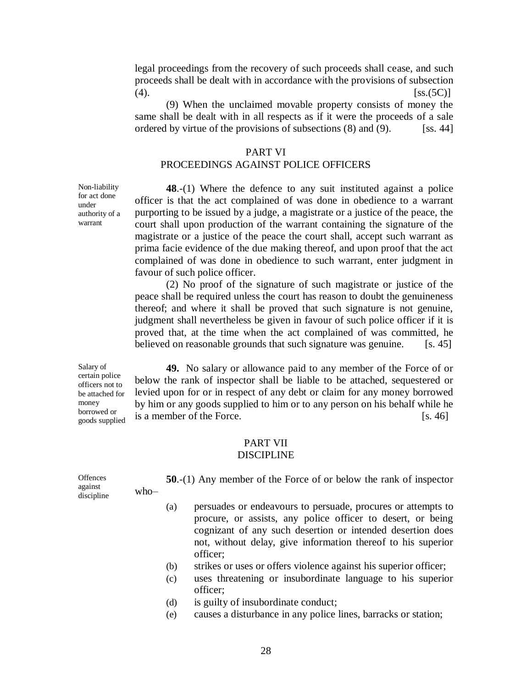legal proceedings from the recovery of such proceeds shall cease, and such proceeds shall be dealt with in accordance with the provisions of subsection (4).  $[ss.(5C)]$ 

(9) When the unclaimed movable property consists of money the same shall be dealt with in all respects as if it were the proceeds of a sale ordered by virtue of the provisions of subsections  $(8)$  and  $(9)$ . [ss. 44]

### PART VI

# PROCEEDINGS AGAINST POLICE OFFICERS

**48**.-(1) Where the defence to any suit instituted against a police officer is that the act complained of was done in obedience to a warrant purporting to be issued by a judge, a magistrate or a justice of the peace, the court shall upon production of the warrant containing the signature of the magistrate or a justice of the peace the court shall, accept such warrant as prima facie evidence of the due making thereof, and upon proof that the act complained of was done in obedience to such warrant, enter judgment in favour of such police officer.

(2) No proof of the signature of such magistrate or justice of the peace shall be required unless the court has reason to doubt the genuineness thereof; and where it shall be proved that such signature is not genuine, judgment shall nevertheless be given in favour of such police officer if it is proved that, at the time when the act complained of was committed, he believed on reasonable grounds that such signature was genuine. [s. 45]

**49.** No salary or allowance paid to any member of the Force of or below the rank of inspector shall be liable to be attached, sequestered or levied upon for or in respect of any debt or claim for any money borrowed by him or any goods supplied to him or to any person on his behalf while he is a member of the Force. [s. 46]

### PART VII DISCIPLINE

| Offences              |        | $50-(1)$ Any member of the Force of or below the rank of inspector |  |  |  |  |  |
|-----------------------|--------|--------------------------------------------------------------------|--|--|--|--|--|
| against<br>discipline | $who-$ |                                                                    |  |  |  |  |  |

- (a) persuades or endeavours to persuade, procures or attempts to procure, or assists, any police officer to desert, or being cognizant of any such desertion or intended desertion does not, without delay, give information thereof to his superior officer;
- (b) strikes or uses or offers violence against his superior officer;
- (c) uses threatening or insubordinate language to his superior officer;
- (d) is guilty of insubordinate conduct;
- (e) causes a disturbance in any police lines, barracks or station;

Non-liability for act done under authority of a warrant

Salary of certain police officers not to be attached for money borrowed or goods supplied

28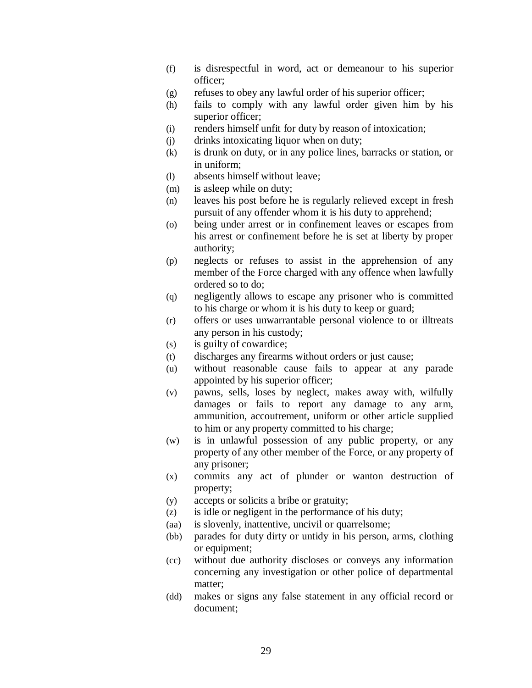- (f) is disrespectful in word, act or demeanour to his superior officer;
- (g) refuses to obey any lawful order of his superior officer;
- (h) fails to comply with any lawful order given him by his superior officer;
- (i) renders himself unfit for duty by reason of intoxication;
- (j) drinks intoxicating liquor when on duty;
- (k) is drunk on duty, or in any police lines, barracks or station, or in uniform;
- (l) absents himself without leave;
- (m) is asleep while on duty;
- (n) leaves his post before he is regularly relieved except in fresh pursuit of any offender whom it is his duty to apprehend;
- (o) being under arrest or in confinement leaves or escapes from his arrest or confinement before he is set at liberty by proper authority;
- (p) neglects or refuses to assist in the apprehension of any member of the Force charged with any offence when lawfully ordered so to do;
- (q) negligently allows to escape any prisoner who is committed to his charge or whom it is his duty to keep or guard;
- (r) offers or uses unwarrantable personal violence to or illtreats any person in his custody;
- (s) is guilty of cowardice;
- (t) discharges any firearms without orders or just cause;
- (u) without reasonable cause fails to appear at any parade appointed by his superior officer;
- (v) pawns, sells, loses by neglect, makes away with, wilfully damages or fails to report any damage to any arm, ammunition, accoutrement, uniform or other article supplied to him or any property committed to his charge;
- (w) is in unlawful possession of any public property, or any property of any other member of the Force, or any property of any prisoner;
- (x) commits any act of plunder or wanton destruction of property;
- (y) accepts or solicits a bribe or gratuity;
- (z) is idle or negligent in the performance of his duty;
- (aa) is slovenly, inattentive, uncivil or quarrelsome;
- (bb) parades for duty dirty or untidy in his person, arms, clothing or equipment;
- (cc) without due authority discloses or conveys any information concerning any investigation or other police of departmental matter;
- (dd) makes or signs any false statement in any official record or document;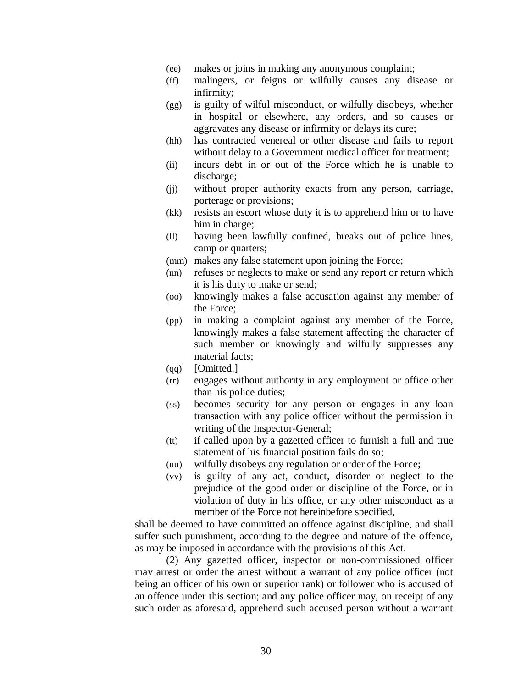- (ee) makes or joins in making any anonymous complaint;
- (ff) malingers, or feigns or wilfully causes any disease or infirmity;
- (gg) is guilty of wilful misconduct, or wilfully disobeys, whether in hospital or elsewhere, any orders, and so causes or aggravates any disease or infirmity or delays its cure;
- (hh) has contracted venereal or other disease and fails to report without delay to a Government medical officer for treatment;
- (ii) incurs debt in or out of the Force which he is unable to discharge:
- (jj) without proper authority exacts from any person, carriage, porterage or provisions;
- (kk) resists an escort whose duty it is to apprehend him or to have him in charge;
- (ll) having been lawfully confined, breaks out of police lines, camp or quarters;
- (mm) makes any false statement upon joining the Force;
- (nn) refuses or neglects to make or send any report or return which it is his duty to make or send;
- (oo) knowingly makes a false accusation against any member of the Force;
- (pp) in making a complaint against any member of the Force, knowingly makes a false statement affecting the character of such member or knowingly and wilfully suppresses any material facts;
- (qq) [Omitted.]
- (rr) engages without authority in any employment or office other than his police duties;
- (ss) becomes security for any person or engages in any loan transaction with any police officer without the permission in writing of the Inspector-General;
- (tt) if called upon by a gazetted officer to furnish a full and true statement of his financial position fails do so;
- (uu) wilfully disobeys any regulation or order of the Force;
- (vv) is guilty of any act, conduct, disorder or neglect to the prejudice of the good order or discipline of the Force, or in violation of duty in his office, or any other misconduct as a member of the Force not hereinbefore specified,

shall be deemed to have committed an offence against discipline, and shall suffer such punishment, according to the degree and nature of the offence, as may be imposed in accordance with the provisions of this Act.

(2) Any gazetted officer, inspector or non-commissioned officer may arrest or order the arrest without a warrant of any police officer (not being an officer of his own or superior rank) or follower who is accused of an offence under this section; and any police officer may, on receipt of any such order as aforesaid, apprehend such accused person without a warrant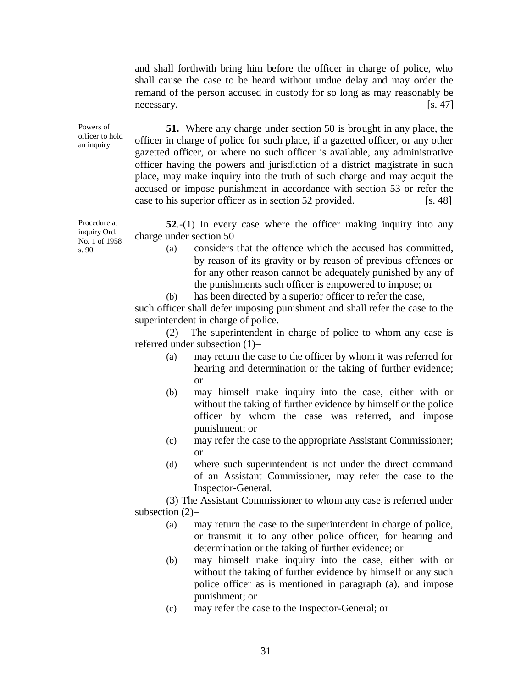and shall forthwith bring him before the officer in charge of police, who shall cause the case to be heard without undue delay and may order the remand of the person accused in custody for so long as may reasonably be necessary. [s. 47]

officer to hold **51.** Where any charge under section 50 is brought in any place, the officer in charge of police for such place, if a gazetted officer, or any other gazetted officer, or where no such officer is available, any administrative officer having the powers and jurisdiction of a district magistrate in such place, may make inquiry into the truth of such charge and may acquit the accused or impose punishment in accordance with section 53 or refer the case to his superior officer as in section 52 provided. [s. 48]

> **52**.-(1) In every case where the officer making inquiry into any charge under section 50–

- (a) considers that the offence which the accused has committed, by reason of its gravity or by reason of previous offences or for any other reason cannot be adequately punished by any of the punishments such officer is empowered to impose; or
- (b) has been directed by a superior officer to refer the case,

such officer shall defer imposing punishment and shall refer the case to the superintendent in charge of police.

(2) The superintendent in charge of police to whom any case is referred under subsection (1)–

- (a) may return the case to the officer by whom it was referred for hearing and determination or the taking of further evidence; or
- (b) may himself make inquiry into the case, either with or without the taking of further evidence by himself or the police officer by whom the case was referred, and impose punishment; or
- (c) may refer the case to the appropriate Assistant Commissioner; or
- (d) where such superintendent is not under the direct command of an Assistant Commissioner, may refer the case to the Inspector-General.

(3) The Assistant Commissioner to whom any case is referred under subsection (2)–

- (a) may return the case to the superintendent in charge of police, or transmit it to any other police officer, for hearing and determination or the taking of further evidence; or
- (b) may himself make inquiry into the case, either with or without the taking of further evidence by himself or any such police officer as is mentioned in paragraph (a), and impose punishment; or
- (c) may refer the case to the Inspector-General; or

Procedure at inquiry Ord. No. 1 of 1958 s. 90

Powers of

an inquiry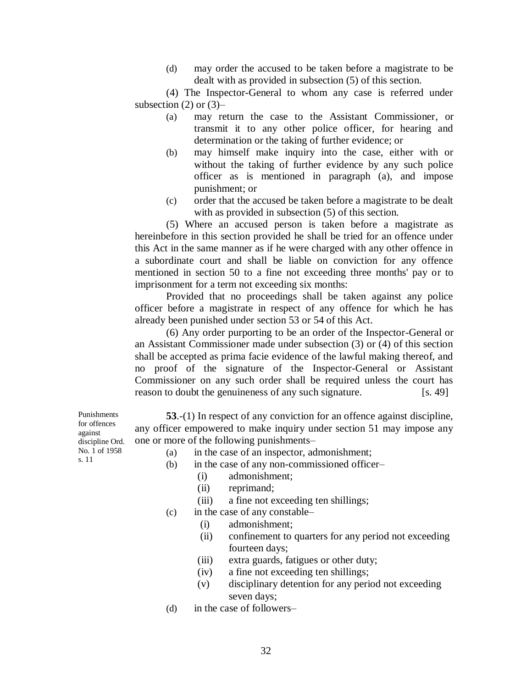(d) may order the accused to be taken before a magistrate to be dealt with as provided in subsection (5) of this section.

(4) The Inspector-General to whom any case is referred under subsection  $(2)$  or  $(3)$ –

- (a) may return the case to the Assistant Commissioner, or transmit it to any other police officer, for hearing and determination or the taking of further evidence; or
- (b) may himself make inquiry into the case, either with or without the taking of further evidence by any such police officer as is mentioned in paragraph (a), and impose punishment; or
- (c) order that the accused be taken before a magistrate to be dealt with as provided in subsection  $(5)$  of this section.

(5) Where an accused person is taken before a magistrate as hereinbefore in this section provided he shall be tried for an offence under this Act in the same manner as if he were charged with any other offence in a subordinate court and shall be liable on conviction for any offence mentioned in section 50 to a fine not exceeding three months' pay or to imprisonment for a term not exceeding six months:

Provided that no proceedings shall be taken against any police officer before a magistrate in respect of any offence for which he has already been punished under section 53 or 54 of this Act.

(6) Any order purporting to be an order of the Inspector-General or an Assistant Commissioner made under subsection (3) or (4) of this section shall be accepted as prima facie evidence of the lawful making thereof, and no proof of the signature of the Inspector-General or Assistant Commissioner on any such order shall be required unless the court has reason to doubt the genuineness of any such signature. [s. 49]

**53**.-(1) In respect of any conviction for an offence against discipline, any officer empowered to make inquiry under section 51 may impose any one or more of the following punishments–

- (a) in the case of an inspector, admonishment;
- (b) in the case of any non-commissioned officer–
	- (i) admonishment;
	- (ii) reprimand;
	- (iii) a fine not exceeding ten shillings;
- (c) in the case of any constable–
	- (i) admonishment;
	- (ii) confinement to quarters for any period not exceeding fourteen days;
	- (iii) extra guards, fatigues or other duty;
	- (iv) a fine not exceeding ten shillings;
	- (v) disciplinary detention for any period not exceeding seven days;
- (d) in the case of followers–

Punishments for offences against discipline Ord. No. 1 of 1958 s. 11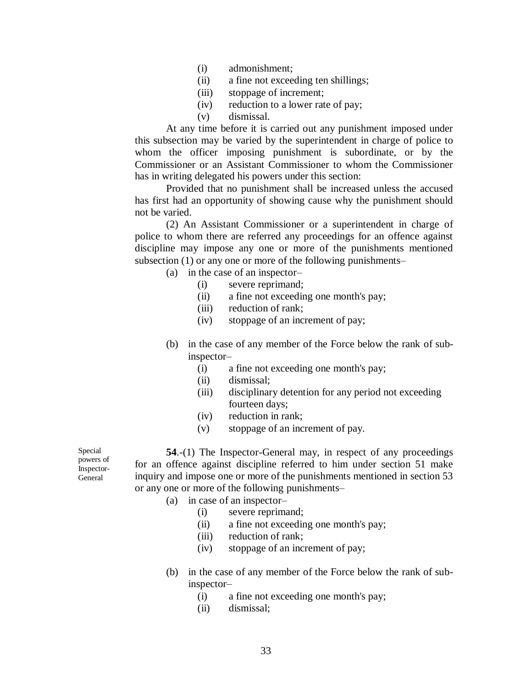- (i) admonishment;
- (ii) a fine not exceeding ten shillings;
- (iii) stoppage of increment;
- (iv) reduction to a lower rate of pay;
- (v) dismissal.

At any time before it is carried out any punishment imposed under this subsection may be varied by the superintendent in charge of police to whom the officer imposing punishment is subordinate, or by the Commissioner or an Assistant Commissioner to whom the Commissioner has in writing delegated his powers under this section:

Provided that no punishment shall be increased unless the accused has first had an opportunity of showing cause why the punishment should not be varied.

(2) An Assistant Commissioner or a superintendent in charge of police to whom there are referred any proceedings for an offence against discipline may impose any one or more of the punishments mentioned subsection (1) or any one or more of the following punishments–

- (a) in the case of an inspector–
	- (i) severe reprimand;
	- (ii) a fine not exceeding one month's pay;
	- (iii) reduction of rank;
	- (iv) stoppage of an increment of pay;
- (b) in the case of any member of the Force below the rank of subinspector–
	- (i) a fine not exceeding one month's pay;
	- (ii) dismissal;
	- (iii) disciplinary detention for any period not exceeding fourteen days;
	- (iv) reduction in rank;
	- (v) stoppage of an increment of pay.

Special powers of <u>inspector-</u> General

**54**.-(1) The Inspector-General may, in respect of any proceedings for an offence against discipline referred to him under section 51 make inquiry and impose one or more of the punishments mentioned in section 53 or any one or more of the following punishments–

- (a) in case of an inspector–
	- (i) severe reprimand;
		- (ii) a fine not exceeding one month's pay;
		- (iii) reduction of rank;
		- (iv) stoppage of an increment of pay;
- (b) in the case of any member of the Force below the rank of subinspector–
	- (i) a fine not exceeding one month's pay;
	- (ii) dismissal;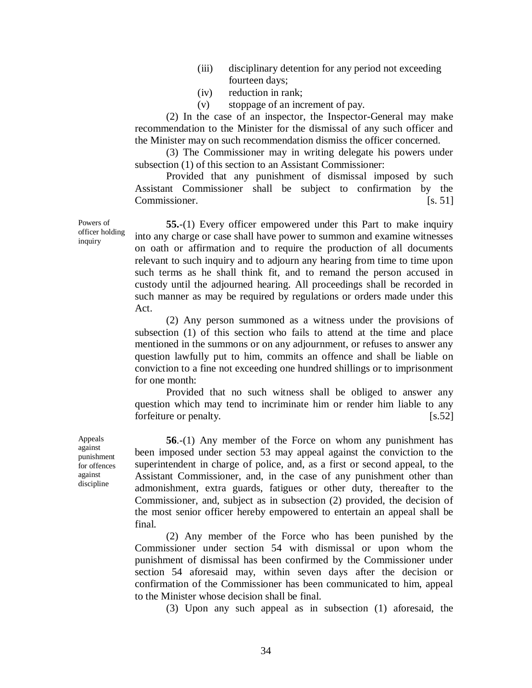- (iii) disciplinary detention for any period not exceeding fourteen days;
- (iv) reduction in rank;
- (v) stoppage of an increment of pay.

(2) In the case of an inspector, the Inspector-General may make recommendation to the Minister for the dismissal of any such officer and the Minister may on such recommendation dismiss the officer concerned.

(3) The Commissioner may in writing delegate his powers under subsection (1) of this section to an Assistant Commissioner:

Provided that any punishment of dismissal imposed by such Assistant Commissioner shall be subject to confirmation by the Commissioner. [s. 51]

**55.**-(1) Every officer empowered under this Part to make inquiry into any charge or case shall have power to summon and examine witnesses on oath or affirmation and to require the production of all documents relevant to such inquiry and to adjourn any hearing from time to time upon such terms as he shall think fit, and to remand the person accused in custody until the adjourned hearing. All proceedings shall be recorded in such manner as may be required by regulations or orders made under this Act.

(2) Any person summoned as a witness under the provisions of subsection (1) of this section who fails to attend at the time and place mentioned in the summons or on any adjournment, or refuses to answer any question lawfully put to him, commits an offence and shall be liable on conviction to a fine not exceeding one hundred shillings or to imprisonment for one month:

Provided that no such witness shall be obliged to answer any question which may tend to incriminate him or render him liable to any forfeiture or penalty. [s.52]

**56**.-(1) Any member of the Force on whom any punishment has been imposed under section 53 may appeal against the conviction to the superintendent in charge of police, and, as a first or second appeal, to the Assistant Commissioner, and, in the case of any punishment other than admonishment, extra guards, fatigues or other duty, thereafter to the Commissioner, and, subject as in subsection (2) provided, the decision of the most senior officer hereby empowered to entertain an appeal shall be final.

(2) Any member of the Force who has been punished by the Commissioner under section 54 with dismissal or upon whom the punishment of dismissal has been confirmed by the Commissioner under section 54 aforesaid may, within seven days after the decision or confirmation of the Commissioner has been communicated to him, appeal to the Minister whose decision shall be final.

(3) Upon any such appeal as in subsection (1) aforesaid, the

Powers of officer holding inquiry

Appeals against punishment for offences against discipline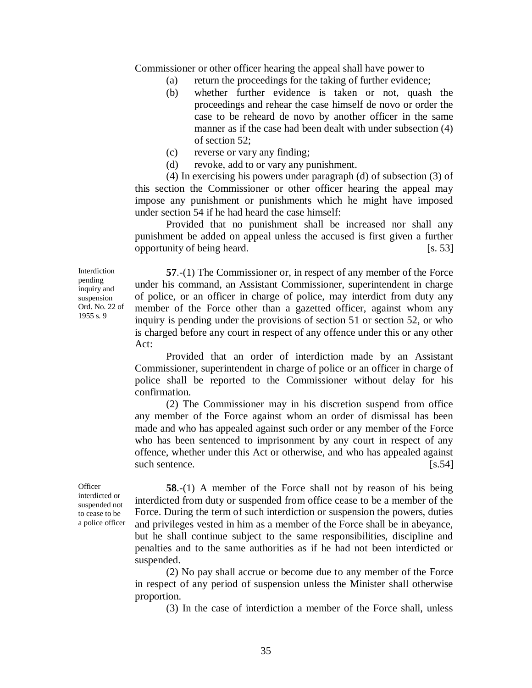Commissioner or other officer hearing the appeal shall have power to–

- (a) return the proceedings for the taking of further evidence;
- (b) whether further evidence is taken or not, quash the proceedings and rehear the case himself de novo or order the case to be reheard de novo by another officer in the same manner as if the case had been dealt with under subsection (4) of section 52;
- (c) reverse or vary any finding;
- (d) revoke, add to or vary any punishment.

(4) In exercising his powers under paragraph (d) of subsection (3) of this section the Commissioner or other officer hearing the appeal may impose any punishment or punishments which he might have imposed under section 54 if he had heard the case himself:

Provided that no punishment shall be increased nor shall any punishment be added on appeal unless the accused is first given a further opportunity of being heard. [s. 53]

Interdiction pending inquiry and suspension Ord. No. 22 of 1955 s. 9

**57**.-(1) The Commissioner or, in respect of any member of the Force under his command, an Assistant Commissioner, superintendent in charge of police, or an officer in charge of police, may interdict from duty any member of the Force other than a gazetted officer, against whom any inquiry is pending under the provisions of section 51 or section 52, or who is charged before any court in respect of any offence under this or any other Act:

Provided that an order of interdiction made by an Assistant Commissioner, superintendent in charge of police or an officer in charge of police shall be reported to the Commissioner without delay for his confirmation.

(2) The Commissioner may in his discretion suspend from office any member of the Force against whom an order of dismissal has been made and who has appealed against such order or any member of the Force who has been sentenced to imprisonment by any court in respect of any offence, whether under this Act or otherwise, and who has appealed against such sentence. [s.54]

**Officer** interdicted or suspended not

to cease to be a police officer

**58**.-(1) A member of the Force shall not by reason of his being interdicted from duty or suspended from office cease to be a member of the Force. During the term of such interdiction or suspension the powers, duties and privileges vested in him as a member of the Force shall be in abeyance, but he shall continue subject to the same responsibilities, discipline and penalties and to the same authorities as if he had not been interdicted or suspended.

(2) No pay shall accrue or become due to any member of the Force in respect of any period of suspension unless the Minister shall otherwise proportion.

(3) In the case of interdiction a member of the Force shall, unless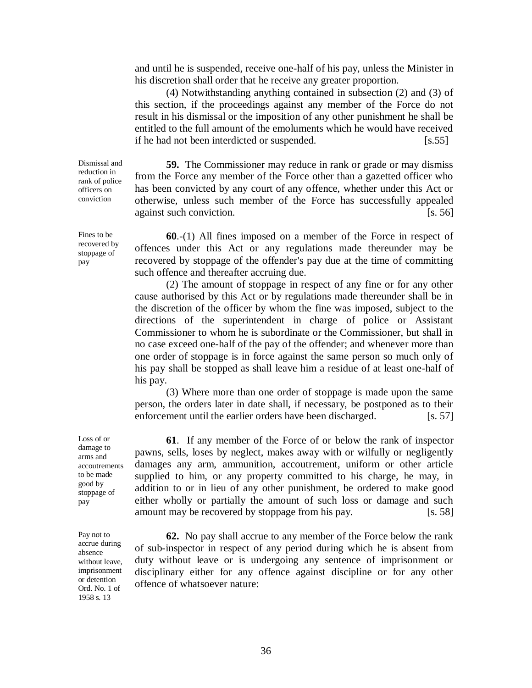and until he is suspended, receive one-half of his pay, unless the Minister in his discretion shall order that he receive any greater proportion.

(4) Notwithstanding anything contained in subsection (2) and (3) of this section, if the proceedings against any member of the Force do not result in his dismissal or the imposition of any other punishment he shall be entitled to the full amount of the emoluments which he would have received if he had not been interdicted or suspended. [s.55]

**59.** The Commissioner may reduce in rank or grade or may dismiss from the Force any member of the Force other than a gazetted officer who has been convicted by any court of any offence, whether under this Act or otherwise, unless such member of the Force has successfully appealed against such conviction. [s. 56]

**60**.-(1) All fines imposed on a member of the Force in respect of offences under this Act or any regulations made thereunder may be recovered by stoppage of the offender's pay due at the time of committing such offence and thereafter accruing due.

(2) The amount of stoppage in respect of any fine or for any other cause authorised by this Act or by regulations made thereunder shall be in the discretion of the officer by whom the fine was imposed, subject to the directions of the superintendent in charge of police or Assistant Commissioner to whom he is subordinate or the Commissioner, but shall in no case exceed one-half of the pay of the offender; and whenever more than one order of stoppage is in force against the same person so much only of his pay shall be stopped as shall leave him a residue of at least one-half of his pay.

(3) Where more than one order of stoppage is made upon the same person, the orders later in date shall, if necessary, be postponed as to their enforcement until the earlier orders have been discharged. [s. 57]

**61**. If any member of the Force of or below the rank of inspector pawns, sells, loses by neglect, makes away with or wilfully or negligently damages any arm, ammunition, accoutrement, uniform or other article supplied to him, or any property committed to his charge, he may, in addition to or in lieu of any other punishment, be ordered to make good either wholly or partially the amount of such loss or damage and such amount may be recovered by stoppage from his pay. [s. 58]

**62.** No pay shall accrue to any member of the Force below the rank of sub-inspector in respect of any period during which he is absent from duty without leave or is undergoing any sentence of imprisonment or disciplinary either for any offence against discipline or for any other offence of whatsoever nature:

Dismissal and reduction in rank of police officers on conviction

Fines to be recovered by stoppage of pay

Loss of or damage to arms and accoutrements to be made good by stoppage of pay

Pay not to accrue during absence without leave, imprisonment or detention Ord. No. 1 of 1958 s. 13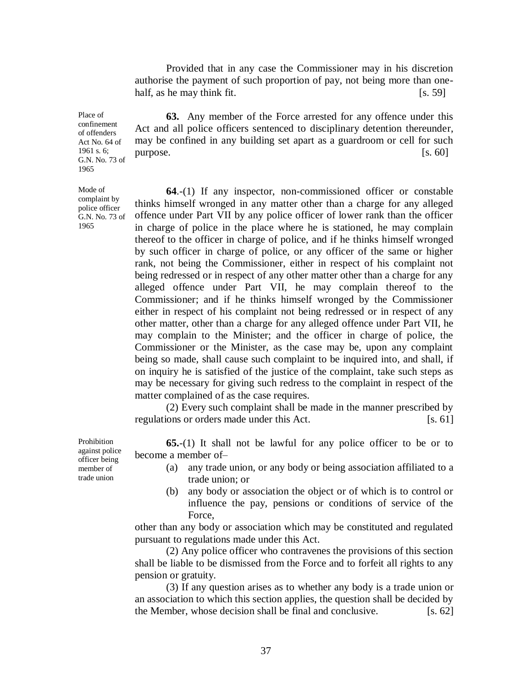Provided that in any case the Commissioner may in his discretion authorise the payment of such proportion of pay, not being more than onehalf, as he may think fit.  $[s, 59]$ 

**63.** Any member of the Force arrested for any offence under this Act and all police officers sentenced to disciplinary detention thereunder, may be confined in any building set apart as a guardroom or cell for such purpose. [s. 60]

**64**.-(1) If any inspector, non-commissioned officer or constable thinks himself wronged in any matter other than a charge for any alleged offence under Part VII by any police officer of lower rank than the officer in charge of police in the place where he is stationed, he may complain thereof to the officer in charge of police, and if he thinks himself wronged by such officer in charge of police, or any officer of the same or higher rank, not being the Commissioner, either in respect of his complaint not being redressed or in respect of any other matter other than a charge for any alleged offence under Part VII, he may complain thereof to the Commissioner; and if he thinks himself wronged by the Commissioner either in respect of his complaint not being redressed or in respect of any other matter, other than a charge for any alleged offence under Part VII, he may complain to the Minister; and the officer in charge of police, the Commissioner or the Minister, as the case may be, upon any complaint being so made, shall cause such complaint to be inquired into, and shall, if on inquiry he is satisfied of the justice of the complaint, take such steps as may be necessary for giving such redress to the complaint in respect of the matter complained of as the case requires.

(2) Every such complaint shall be made in the manner prescribed by regulations or orders made under this Act. [s. 61]

**65.**-(1) It shall not be lawful for any police officer to be or to become a member of–

- (a) any trade union, or any body or being association affiliated to a trade union; or
- (b) any body or association the object or of which is to control or influence the pay, pensions or conditions of service of the Force,

other than any body or association which may be constituted and regulated pursuant to regulations made under this Act.

(2) Any police officer who contravenes the provisions of this section shall be liable to be dismissed from the Force and to forfeit all rights to any pension or gratuity.

(3) If any question arises as to whether any body is a trade union or an association to which this section applies, the question shall be decided by the Member, whose decision shall be final and conclusive.  $\left[ \text{s. 62} \right]$ 

Prohibition against police officer being member of trade union

1961 s. 6; G.N. No. 73 of 1965 Mode of complaint by

police officer G.N. No. 73 of

1965

Place of confinement of offenders Act No. 64 of

37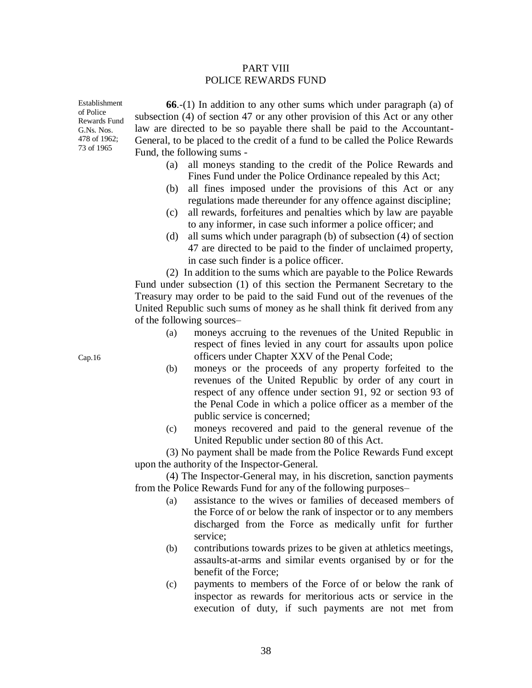### PART VIII POLICE REWARDS FUND

Establishment of Police Rewards Fund G.Ns. Nos. 478 of 1962; 73 of 1965

**66**.-(1) In addition to any other sums which under paragraph (a) of subsection (4) of section 47 or any other provision of this Act or any other law are directed to be so payable there shall be paid to the Accountant-General, to be placed to the credit of a fund to be called the Police Rewards Fund, the following sums -

- (a) all moneys standing to the credit of the Police Rewards and Fines Fund under the Police Ordinance repealed by this Act;
- (b) all fines imposed under the provisions of this Act or any regulations made thereunder for any offence against discipline;
- (c) all rewards, forfeitures and penalties which by law are payable to any informer, in case such informer a police officer; and
- (d) all sums which under paragraph (b) of subsection (4) of section 47 are directed to be paid to the finder of unclaimed property, in case such finder is a police officer.

(2) In addition to the sums which are payable to the Police Rewards Fund under subsection (1) of this section the Permanent Secretary to the Treasury may order to be paid to the said Fund out of the revenues of the United Republic such sums of money as he shall think fit derived from any of the following sources–

- (a) moneys accruing to the revenues of the United Republic in respect of fines levied in any court for assaults upon police officers under Chapter XXV of the Penal Code;
- (b) moneys or the proceeds of any property forfeited to the revenues of the United Republic by order of any court in respect of any offence under section 91, 92 or section 93 of the Penal Code in which a police officer as a member of the public service is concerned;
- (c) moneys recovered and paid to the general revenue of the United Republic under section 80 of this Act.

(3) No payment shall be made from the Police Rewards Fund except upon the authority of the Inspector-General.

(4) The Inspector-General may, in his discretion, sanction payments from the Police Rewards Fund for any of the following purposes–

- (a) assistance to the wives or families of deceased members of the Force of or below the rank of inspector or to any members discharged from the Force as medically unfit for further service;
- (b) contributions towards prizes to be given at athletics meetings, assaults-at-arms and similar events organised by or for the benefit of the Force;
- (c) payments to members of the Force of or below the rank of inspector as rewards for meritorious acts or service in the execution of duty, if such payments are not met from

Cap.16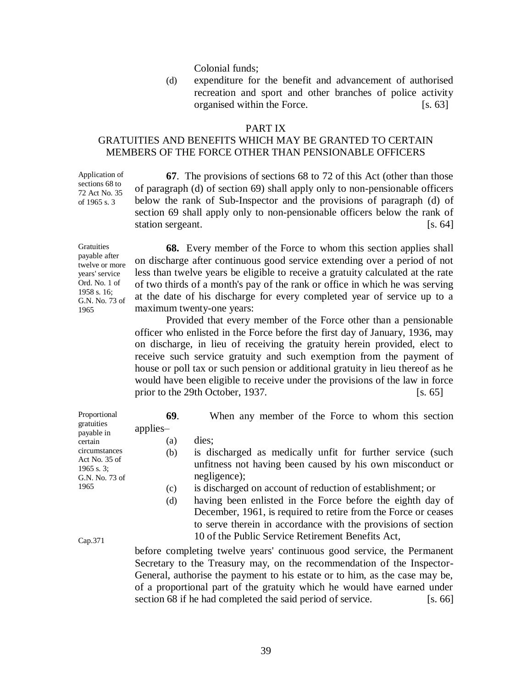Colonial funds;

(d) expenditure for the benefit and advancement of authorised recreation and sport and other branches of police activity organised within the Force. [s. 63]

### PART IX

### GRATUITIES AND BENEFITS WHICH MAY BE GRANTED TO CERTAIN MEMBERS OF THE FORCE OTHER THAN PENSIONABLE OFFICERS

Application of sections 68 to 72 Act No. 35 of 1965 s. 3

**67**. The provisions of sections 68 to 72 of this Act (other than those of paragraph (d) of section 69) shall apply only to non-pensionable officers below the rank of Sub-Inspector and the provisions of paragraph (d) of section 69 shall apply only to non-pensionable officers below the rank of station sergeant. [s. 64]

**Gratuities** payable after twelve or more years' service Ord. No. 1 of 1958 s. 16; G.N. No. 73 of 1965

**68.** Every member of the Force to whom this section applies shall on discharge after continuous good service extending over a period of not less than twelve years be eligible to receive a gratuity calculated at the rate of two thirds of a month's pay of the rank or office in which he was serving at the date of his discharge for every completed year of service up to a maximum twenty-one years:

Provided that every member of the Force other than a pensionable officer who enlisted in the Force before the first day of January, 1936, may on discharge, in lieu of receiving the gratuity herein provided, elect to receive such service gratuity and such exemption from the payment of house or poll tax or such pension or additional gratuity in lieu thereof as he would have been eligible to receive under the provisions of the law in force prior to the 29th October, 1937. [s. 65]

| Proportional                                                     | 69.      | When any member of the Force to whom this section                                                                                                                                             |
|------------------------------------------------------------------|----------|-----------------------------------------------------------------------------------------------------------------------------------------------------------------------------------------------|
| gratuities<br>payable in                                         | applies- |                                                                                                                                                                                               |
| certain                                                          | (a)      | dies;                                                                                                                                                                                         |
| circumstances<br>Act No. 35 of<br>$1965$ s. 3;<br>G.N. No. 73 of | (b)      | is discharged as medically unfit for further service (such<br>unfitness not having been caused by his own misconduct or<br>negligence);                                                       |
| 1965                                                             | (c)      | is discharged on account of reduction of establishment; or                                                                                                                                    |
|                                                                  | (d)      | having been enlisted in the Force before the eighth day of<br>December, 1961, is required to retire from the Force or ceases<br>to serve therein in accordance with the provisions of section |
| Cap.371                                                          |          | 10 of the Public Service Retirement Benefits Act,                                                                                                                                             |
|                                                                  |          | before completing twolve years' continuous good service the Dermanent                                                                                                                         |

before completing twelve years' continuous good service, the Permanent Secretary to the Treasury may, on the recommendation of the Inspector-General, authorise the payment to his estate or to him, as the case may be, of a proportional part of the gratuity which he would have earned under section 68 if he had completed the said period of service. [s. 66]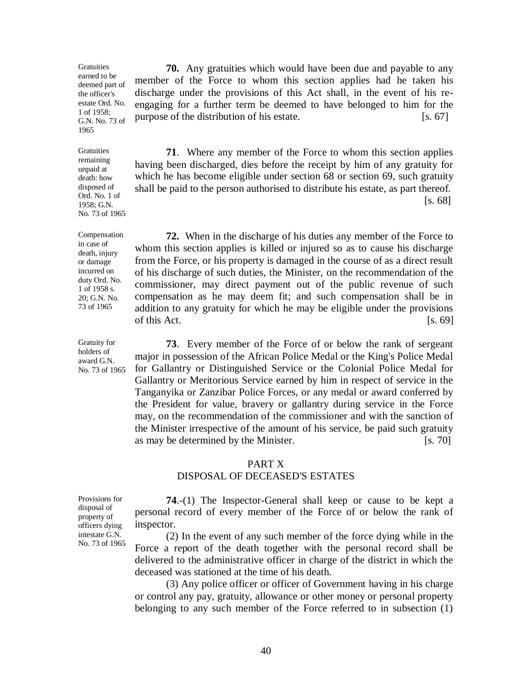**Gratuities** earned to be deemed part of the officer's estate Ord. No. 1 of 1958; G.N. No. 73 of 1965

Gratuities remaining unpaid at death: how disposed of Ord. No. 1 of 1958; G.N. No. 73 of 1965

Compensation in case of death, injury or damage incurred on duty Ord. No. 1 of 1958 s. 20; G.N. No. 73 of 1965

Gratuity for holders of award G.N. No. 73 of 1965

**70.** Any gratuities which would have been due and payable to any member of the Force to whom this section applies had he taken his discharge under the provisions of this Act shall, in the event of his reengaging for a further term be deemed to have belonged to him for the purpose of the distribution of his estate.  $[s, 67]$ 

**71**. Where any member of the Force to whom this section applies having been discharged, dies before the receipt by him of any gratuity for which he has become eligible under section 68 or section 69, such gratuity shall be paid to the person authorised to distribute his estate, as part thereof. [s. 68]

**72.** When in the discharge of his duties any member of the Force to whom this section applies is killed or injured so as to cause his discharge from the Force, or his property is damaged in the course of as a direct result of his discharge of such duties, the Minister, on the recommendation of the commissioner, may direct payment out of the public revenue of such compensation as he may deem fit; and such compensation shall be in addition to any gratuity for which he may be eligible under the provisions of this Act.  $[s, 69]$ 

**73**. Every member of the Force of or below the rank of sergeant major in possession of the African Police Medal or the King's Police Medal for Gallantry or Distinguished Service or the Colonial Police Medal for Gallantry or Meritorious Service earned by him in respect of service in the Tanganyika or Zanzibar Police Forces, or any medal or award conferred by the President for value, bravery or gallantry during service in the Force may, on the recommendation of the commissioner and with the sanction of the Minister irrespective of the amount of his service, be paid such gratuity as may be determined by the Minister. [s. 70]

### PART X

### DISPOSAL OF DECEASED'S ESTATES

Provisions for disposal of property of officers dying intestate G.N. No. 73 of 1965

**74**.-(1) The Inspector-General shall keep or cause to be kept a personal record of every member of the Force of or below the rank of inspector.

(2) In the event of any such member of the force dying while in the Force a report of the death together with the personal record shall be delivered to the administrative officer in charge of the district in which the deceased was stationed at the time of his death.

(3) Any police officer or officer of Government having in his charge or control any pay, gratuity, allowance or other money or personal property belonging to any such member of the Force referred to in subsection (1)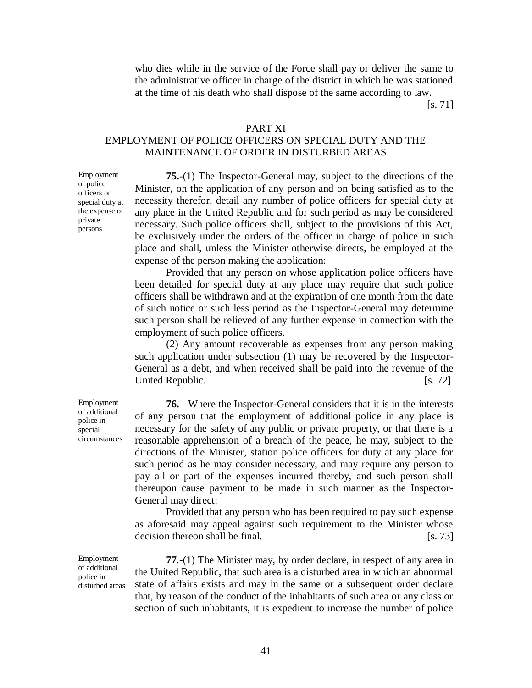who dies while in the service of the Force shall pay or deliver the same to the administrative officer in charge of the district in which he was stationed at the time of his death who shall dispose of the same according to law.

[s. 71]

### PART XI

### EMPLOYMENT OF POLICE OFFICERS ON SPECIAL DUTY AND THE MAINTENANCE OF ORDER IN DISTURBED AREAS

**75.**-(1) The Inspector-General may, subject to the directions of the Minister, on the application of any person and on being satisfied as to the necessity therefor, detail any number of police officers for special duty at any place in the United Republic and for such period as may be considered necessary. Such police officers shall, subject to the provisions of this Act, be exclusively under the orders of the officer in charge of police in such place and shall, unless the Minister otherwise directs, be employed at the expense of the person making the application:

Provided that any person on whose application police officers have been detailed for special duty at any place may require that such police officers shall be withdrawn and at the expiration of one month from the date of such notice or such less period as the Inspector-General may determine such person shall be relieved of any further expense in connection with the employment of such police officers.

(2) Any amount recoverable as expenses from any person making such application under subsection (1) may be recovered by the Inspector-General as a debt, and when received shall be paid into the revenue of the United Republic. [s. 72]

**76.** Where the Inspector-General considers that it is in the interests of any person that the employment of additional police in any place is necessary for the safety of any public or private property, or that there is a reasonable apprehension of a breach of the peace, he may, subject to the directions of the Minister, station police officers for duty at any place for such period as he may consider necessary, and may require any person to pay all or part of the expenses incurred thereby, and such person shall thereupon cause payment to be made in such manner as the Inspector-General may direct:

Provided that any person who has been required to pay such expense as aforesaid may appeal against such requirement to the Minister whose decision thereon shall be final. [s. 73]

**77**.-(1) The Minister may, by order declare, in respect of any area in the United Republic, that such area is a disturbed area in which an abnormal state of affairs exists and may in the same or a subsequent order declare that, by reason of the conduct of the inhabitants of such area or any class or section of such inhabitants, it is expedient to increase the number of police

Employment of additional police in special circumstances

Employment of police officers on special duty at the expense of private persons

Employment of additional police in disturbed areas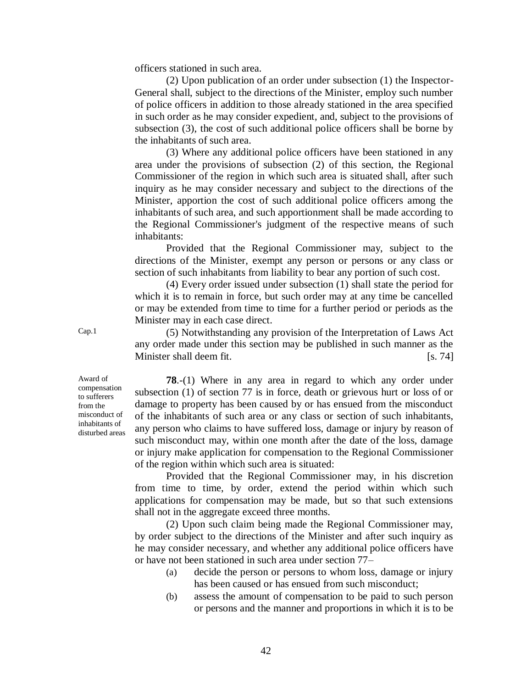officers stationed in such area.

(2) Upon publication of an order under subsection (1) the Inspector-General shall, subject to the directions of the Minister, employ such number of police officers in addition to those already stationed in the area specified in such order as he may consider expedient, and, subject to the provisions of subsection (3), the cost of such additional police officers shall be borne by the inhabitants of such area.

(3) Where any additional police officers have been stationed in any area under the provisions of subsection (2) of this section, the Regional Commissioner of the region in which such area is situated shall, after such inquiry as he may consider necessary and subject to the directions of the Minister, apportion the cost of such additional police officers among the inhabitants of such area, and such apportionment shall be made according to the Regional Commissioner's judgment of the respective means of such inhabitants:

Provided that the Regional Commissioner may, subject to the directions of the Minister, exempt any person or persons or any class or section of such inhabitants from liability to bear any portion of such cost.

(4) Every order issued under subsection (1) shall state the period for which it is to remain in force, but such order may at any time be cancelled or may be extended from time to time for a further period or periods as the Minister may in each case direct.

Cap.1 (5) Notwithstanding any provision of the Interpretation of Laws Act any order made under this section may be published in such manner as the Minister shall deem fit. [s. 74]

Award of compensation to sufferers from the misconduct of inhabitants of disturbed areas

**78**.-(1) Where in any area in regard to which any order under subsection (1) of section 77 is in force, death or grievous hurt or loss of or damage to property has been caused by or has ensued from the misconduct of the inhabitants of such area or any class or section of such inhabitants, any person who claims to have suffered loss, damage or injury by reason of such misconduct may, within one month after the date of the loss, damage or injury make application for compensation to the Regional Commissioner of the region within which such area is situated:

Provided that the Regional Commissioner may, in his discretion from time to time, by order, extend the period within which such applications for compensation may be made, but so that such extensions shall not in the aggregate exceed three months.

(2) Upon such claim being made the Regional Commissioner may, by order subject to the directions of the Minister and after such inquiry as he may consider necessary, and whether any additional police officers have or have not been stationed in such area under section 77–

- (a) decide the person or persons to whom loss, damage or injury has been caused or has ensued from such misconduct;
- (b) assess the amount of compensation to be paid to such person or persons and the manner and proportions in which it is to be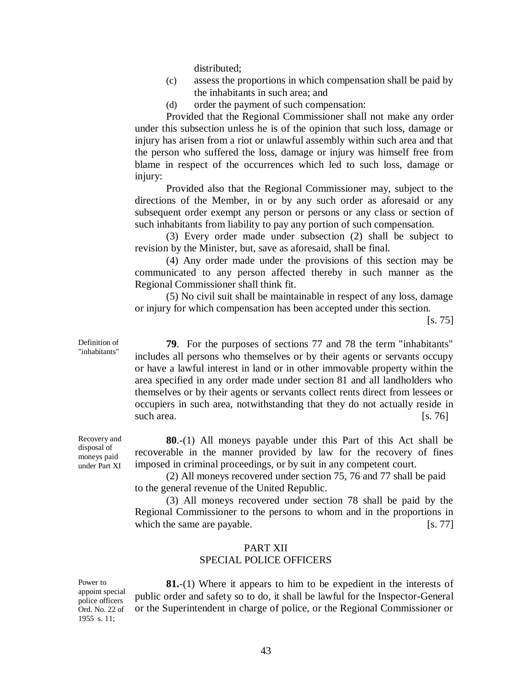distributed;

- (c) assess the proportions in which compensation shall be paid by the inhabitants in such area; and
- (d) order the payment of such compensation:

Provided that the Regional Commissioner shall not make any order under this subsection unless he is of the opinion that such loss, damage or injury has arisen from a riot or unlawful assembly within such area and that the person who suffered the loss, damage or injury was himself free from blame in respect of the occurrences which led to such loss, damage or injury:

Provided also that the Regional Commissioner may, subject to the directions of the Member, in or by any such order as aforesaid or any subsequent order exempt any person or persons or any class or section of such inhabitants from liability to pay any portion of such compensation.

(3) Every order made under subsection (2) shall be subject to revision by the Minister, but, save as aforesaid, shall be final.

(4) Any order made under the provisions of this section may be communicated to any person affected thereby in such manner as the Regional Commissioner shall think fit.

(5) No civil suit shall be maintainable in respect of any loss, damage or injury for which compensation has been accepted under this section.

[s. 75]

**79**. For the purposes of sections 77 and 78 the term "inhabitants" includes all persons who themselves or by their agents or servants occupy or have a lawful interest in land or in other immovable property within the area specified in any order made under section 81 and all landholders who themselves or by their agents or servants collect rents direct from lessees or occupiers in such area, notwithstanding that they do not actually reside in such area. [s. 76]

**80**.-(1) All moneys payable under this Part of this Act shall be recoverable in the manner provided by law for the recovery of fines imposed in criminal proceedings, or by suit in any competent court.

(2) All moneys recovered under section 75, 76 and 77 shall be paid to the general revenue of the United Republic.

(3) All moneys recovered under section 78 shall be paid by the Regional Commissioner to the persons to whom and in the proportions in which the same are payable.  $[s, 77]$ 

### PART XII SPECIAL POLICE OFFICERS

Power to appoint special police officers Ord. No. 22 of 1955 s. 11;

**81.**-(1) Where it appears to him to be expedient in the interests of public order and safety so to do, it shall be lawful for the Inspector-General or the Superintendent in charge of police, or the Regional Commissioner or

Recovery and disposal of moneys paid under Part XI

Definition of "inhabitants"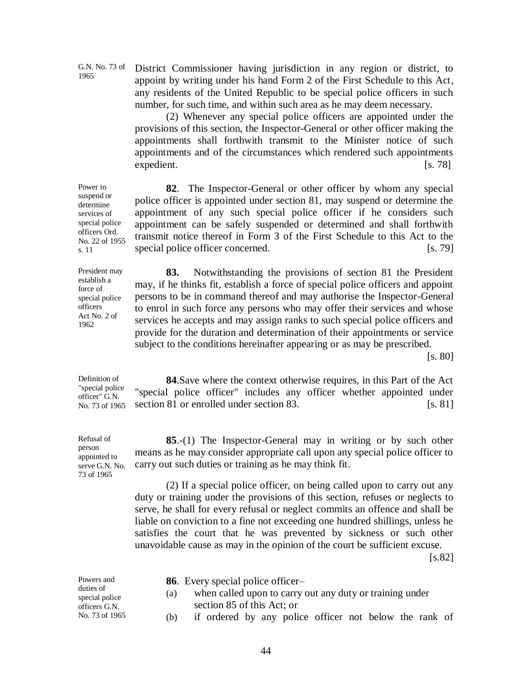G.N. No. 73 of 1965

Power to suspend or determine services of special police officers Ord.

s. 11

District Commissioner having jurisdiction in any region or district, to appoint by writing under his hand Form 2 of the First Schedule to this Act, any residents of the United Republic to be special police officers in such number, for such time, and within such area as he may deem necessary.

(2) Whenever any special police officers are appointed under the provisions of this section, the Inspector-General or other officer making the appointments shall forthwith transmit to the Minister notice of such appointments and of the circumstances which rendered such appointments expedient. [s. 78]

No. 22 of 1955 **82**. The Inspector-General or other officer by whom any special police officer is appointed under section 81, may suspend or determine the appointment of any such special police officer if he considers such appointment can be safely suspended or determined and shall forthwith transmit notice thereof in Form 3 of the First Schedule to this Act to the special police officer concerned. [s. 79]

President may establish a force of special police officers Act No. 2 of 1962

**83.** Notwithstanding the provisions of section 81 the President may, if he thinks fit, establish a force of special police officers and appoint persons to be in command thereof and may authorise the Inspector-General to enrol in such force any persons who may offer their services and whose services he accepts and may assign ranks to such special police officers and provide for the duration and determination of their appointments or service subject to the conditions hereinafter appearing or as may be prescribed.

[s. 80]

Definition of "special police officer" G.N. No. 73 of 1965

Refusal of person appointed to serve G.N. No. 73 of 1965

**84**.Save where the context otherwise requires, in this Part of the Act "special police officer" includes any officer whether appointed under section 81 or enrolled under section 83. [s. 81]

**85**.-(1) The Inspector-General may in writing or by such other means as he may consider appropriate call upon any special police officer to carry out such duties or training as he may think fit.

(2) If a special police officer, on being called upon to carry out any duty or training under the provisions of this section, refuses or neglects to serve, he shall for every refusal or neglect commits an offence and shall be liable on conviction to a fine not exceeding one hundred shillings, unless he satisfies the court that he was prevented by sickness or such other unavoidable cause as may in the opinion of the court be sufficient excuse.

[s.82]

| Powers and                  | <b>86.</b> Every special police officer-                        |  |
|-----------------------------|-----------------------------------------------------------------|--|
| duties of<br>special police | when called upon to carry out any duty or training under<br>(a) |  |
| officers G.N.               | section 85 of this Act; or                                      |  |
| No. 73 of 1965              | if ordered by any police officer not below the rank of<br>(b)   |  |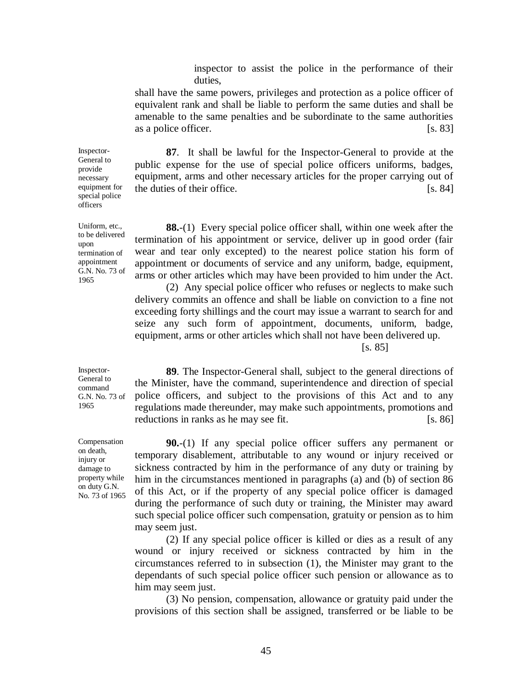inspector to assist the police in the performance of their duties,

shall have the same powers, privileges and protection as a police officer of equivalent rank and shall be liable to perform the same duties and shall be amenable to the same penalties and be subordinate to the same authorities as a police officer.  $[s, 83]$ 

**87**. It shall be lawful for the Inspector-General to provide at the public expense for the use of special police officers uniforms, badges, equipment, arms and other necessary articles for the proper carrying out of the duties of their office. [s. 84]

**88.**-(1) Every special police officer shall, within one week after the termination of his appointment or service, deliver up in good order (fair wear and tear only excepted) to the nearest police station his form of appointment or documents of service and any uniform, badge, equipment, arms or other articles which may have been provided to him under the Act.

(2) Any special police officer who refuses or neglects to make such delivery commits an offence and shall be liable on conviction to a fine not exceeding forty shillings and the court may issue a warrant to search for and seize any such form of appointment, documents, uniform, badge, equipment, arms or other articles which shall not have been delivered up.

[s. 85]

Inspector-General to command G.N. No. 73 of 1965

Compensation on death, injury or damage to property while on duty G.N. No. 73 of 1965

**89**. The Inspector-General shall, subject to the general directions of the Minister, have the command, superintendence and direction of special police officers, and subject to the provisions of this Act and to any regulations made thereunder, may make such appointments, promotions and reductions in ranks as he may see fit.  $[s. 86]$ 

**90.**-(1) If any special police officer suffers any permanent or temporary disablement, attributable to any wound or injury received or sickness contracted by him in the performance of any duty or training by him in the circumstances mentioned in paragraphs (a) and (b) of section 86 of this Act, or if the property of any special police officer is damaged during the performance of such duty or training, the Minister may award such special police officer such compensation, gratuity or pension as to him may seem just.

(2) If any special police officer is killed or dies as a result of any wound or injury received or sickness contracted by him in the circumstances referred to in subsection (1), the Minister may grant to the dependants of such special police officer such pension or allowance as to him may seem just.

(3) No pension, compensation, allowance or gratuity paid under the provisions of this section shall be assigned, transferred or be liable to be

Inspector-General to provide necessary equipment for special police officers

Uniform, etc., to be delivered upon termination of appointment G.N. No. 73 of 1965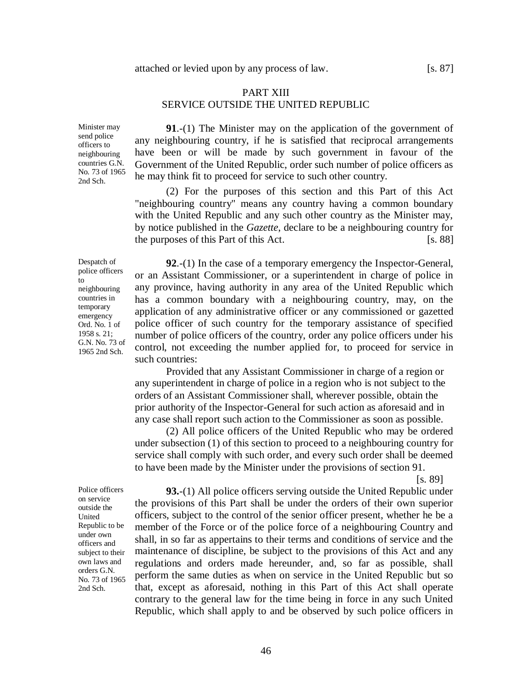### PART XIII SERVICE OUTSIDE THE UNITED REPUBLIC

Minister may send police officers to neighbouring countries G.N. No. 73 of 1965 2nd Sch.

**91**.-(1) The Minister may on the application of the government of any neighbouring country, if he is satisfied that reciprocal arrangements have been or will be made by such government in favour of the Government of the United Republic, order such number of police officers as he may think fit to proceed for service to such other country.

(2) For the purposes of this section and this Part of this Act "neighbouring country" means any country having a common boundary with the United Republic and any such other country as the Minister may, by notice published in the *Gazette*, declare to be a neighbouring country for the purposes of this Part of this Act. [s. 88]

or an Assistant Commissioner, or a superintendent in charge of police in any province, having authority in any area of the United Republic which has a common boundary with a neighbouring country, may, on the application of any administrative officer or any commissioned or gazetted police officer of such country for the temporary assistance of specified number of police officers of the country, order any police officers under his control, not exceeding the number applied for, to proceed for service in

**92**.-(1) In the case of a temporary emergency the Inspector-General,

Despatch of police officers to neighbouring countries in temporary emergency Ord. No. 1 of 1958 s. 21; G.N. No. 73 of 1965 2nd Sch.

such countries:

Provided that any Assistant Commissioner in charge of a region or any superintendent in charge of police in a region who is not subject to the orders of an Assistant Commissioner shall, wherever possible, obtain the prior authority of the Inspector-General for such action as aforesaid and in any case shall report such action to the Commissioner as soon as possible.

(2) All police officers of the United Republic who may be ordered under subsection (1) of this section to proceed to a neighbouring country for service shall comply with such order, and every such order shall be deemed to have been made by the Minister under the provisions of section 91.

[s. 89]

**93.**-(1) All police officers serving outside the United Republic under the provisions of this Part shall be under the orders of their own superior officers, subject to the control of the senior officer present, whether he be a member of the Force or of the police force of a neighbouring Country and shall, in so far as appertains to their terms and conditions of service and the maintenance of discipline, be subject to the provisions of this Act and any regulations and orders made hereunder, and, so far as possible, shall perform the same duties as when on service in the United Republic but so that, except as aforesaid, nothing in this Part of this Act shall operate contrary to the general law for the time being in force in any such United Republic, which shall apply to and be observed by such police officers in

Police officers on service outside the United Republic to be under own officers and subject to their own laws and orders G.N. No. 73 of 1965 2nd Sch.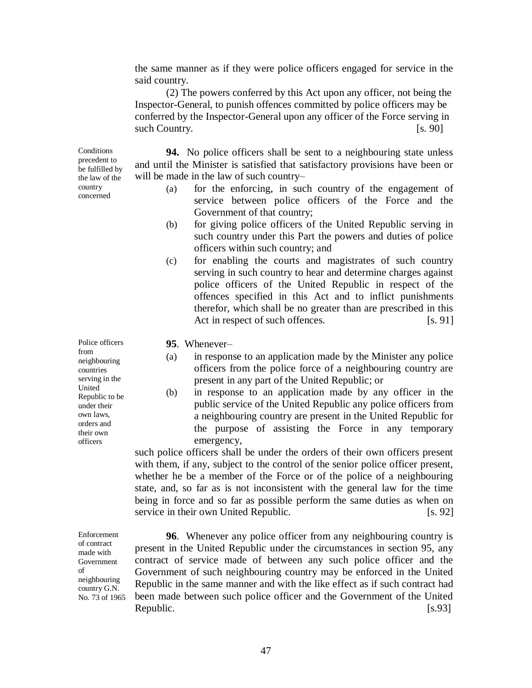the same manner as if they were police officers engaged for service in the said country.

(2) The powers conferred by this Act upon any officer, not being the Inspector-General, to punish offences committed by police officers may be conferred by the Inspector-General upon any officer of the Force serving in such Country. [s. 90]

Conditions precedent to be fulfilled by the law of the country concerned

**94.** No police officers shall be sent to a neighbouring state unless and until the Minister is satisfied that satisfactory provisions have been or will be made in the law of such country–

- (a) for the enforcing, in such country of the engagement of service between police officers of the Force and the Government of that country;
- (b) for giving police officers of the United Republic serving in such country under this Part the powers and duties of police officers within such country; and
- (c) for enabling the courts and magistrates of such country serving in such country to hear and determine charges against police officers of the United Republic in respect of the offences specified in this Act and to inflict punishments therefor, which shall be no greater than are prescribed in this Act in respect of such offences. [s. 91]

**95**. Whenever–

- (a) in response to an application made by the Minister any police officers from the police force of a neighbouring country are present in any part of the United Republic; or
- (b) in response to an application made by any officer in the public service of the United Republic any police officers from a neighbouring country are present in the United Republic for the purpose of assisting the Force in any temporary emergency,

such police officers shall be under the orders of their own officers present with them, if any, subject to the control of the senior police officer present, whether he be a member of the Force or of the police of a neighbouring state, and, so far as is not inconsistent with the general law for the time being in force and so far as possible perform the same duties as when on service in their own United Republic. [s. 92]

**96**. Whenever any police officer from any neighbouring country is present in the United Republic under the circumstances in section 95, any contract of service made of between any such police officer and the Government of such neighbouring country may be enforced in the United Republic in the same manner and with the like effect as if such contract had been made between such police officer and the Government of the United Republic.  $[s.93]$ 

Police officers from neighbouring countries serving in the United Republic to be under their own laws, orders and their own officers

Enforcement of contract made with Government of neighbouring country G.N. No. 73 of 1965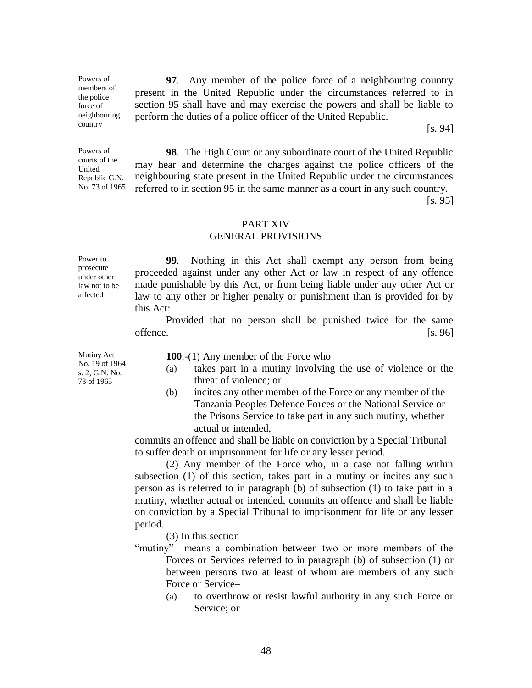**97**. Any member of the police force of a neighbouring country present in the United Republic under the circumstances referred to in section 95 shall have and may exercise the powers and shall be liable to perform the duties of a police officer of the United Republic.

[s. 94]

**98**. The High Court or any subordinate court of the United Republic may hear and determine the charges against the police officers of the neighbouring state present in the United Republic under the circumstances referred to in section 95 in the same manner as a court in any such country.

[s. 95]

### PART XIV

### GENERAL PROVISIONS

Power to prosecute under other law not to be affected

Powers of members of the police force of neighbouring country

Powers of courts of the United Republic G.N. No. 73 of 1965

> **99**. Nothing in this Act shall exempt any person from being proceeded against under any other Act or law in respect of any offence made punishable by this Act, or from being liable under any other Act or law to any other or higher penalty or punishment than is provided for by this Act:

> Provided that no person shall be punished twice for the same offence. [s. 96]

Mutiny Act No. 19 of 1964 s. 2; G.N. No. 73 of 1965

**100**.-(1) Any member of the Force who–

- (a) takes part in a mutiny involving the use of violence or the threat of violence; or
- (b) incites any other member of the Force or any member of the Tanzania Peoples Defence Forces or the National Service or the Prisons Service to take part in any such mutiny, whether actual or intended,

commits an offence and shall be liable on conviction by a Special Tribunal to suffer death or imprisonment for life or any lesser period.

(2) Any member of the Force who, in a case not falling within subsection (1) of this section, takes part in a mutiny or incites any such person as is referred to in paragraph (b) of subsection (1) to take part in a mutiny, whether actual or intended, commits an offence and shall be liable on conviction by a Special Tribunal to imprisonment for life or any lesser period.

(3) In this section––

- "mutiny" means a combination between two or more members of the Forces or Services referred to in paragraph (b) of subsection (1) or between persons two at least of whom are members of any such Force or Service–
	- (a) to overthrow or resist lawful authority in any such Force or Service; or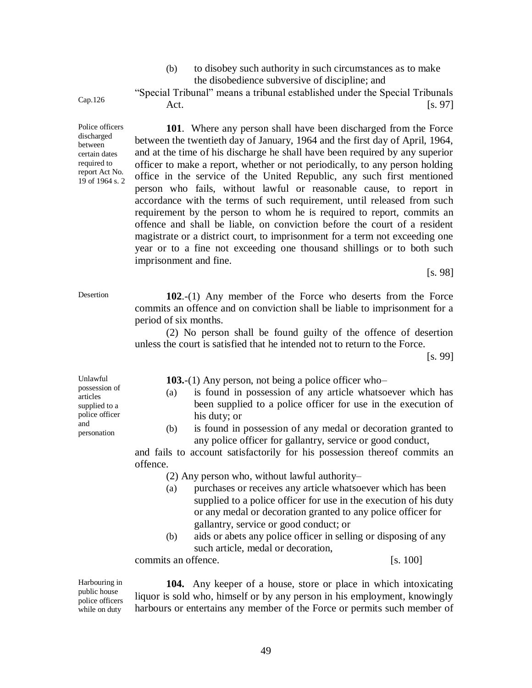(b) to disobey such authority in such circumstances as to make the disobedience subversive of discipline; and

"Special Tribunal" means a tribunal established under the Special Tribunals Act. [s. 97]

**101**. Where any person shall have been discharged from the Force between the twentieth day of January, 1964 and the first day of April, 1964, and at the time of his discharge he shall have been required by any superior officer to make a report, whether or not periodically, to any person holding office in the service of the United Republic, any such first mentioned person who fails, without lawful or reasonable cause, to report in accordance with the terms of such requirement, until released from such requirement by the person to whom he is required to report, commits an offence and shall be liable, on conviction before the court of a resident magistrate or a district court, to imprisonment for a term not exceeding one year or to a fine not exceeding one thousand shillings or to both such imprisonment and fine.

[s. 98]

Desertion **102**.-(1) Any member of the Force who deserts from the Force commits an offence and on conviction shall be liable to imprisonment for a period of six months.

> (2) No person shall be found guilty of the offence of desertion unless the court is satisfied that he intended not to return to the Force.

> > [s. 99]

| Unlawful                                                                           |     | 103.-(1) Any person, not being a police officer who-                                                                                        |  |  |  |  |
|------------------------------------------------------------------------------------|-----|---------------------------------------------------------------------------------------------------------------------------------------------|--|--|--|--|
| possession of<br>articles<br>supplied to a<br>police officer<br>and<br>personation | (a) | is found in possession of any article whatsoever which has<br>been supplied to a police officer for use in the execution of<br>his duty; or |  |  |  |  |
|                                                                                    | (b) | is found in possession of any medal or decoration granted to<br>any police officer for gallantry, service or good conduct,                  |  |  |  |  |
|                                                                                    |     |                                                                                                                                             |  |  |  |  |

and fails to account satisfactorily for his possession thereof commits an offence.

(2) Any person who, without lawful authority–

49

- (a) purchases or receives any article whatsoever which has been supplied to a police officer for use in the execution of his duty or any medal or decoration granted to any police officer for gallantry, service or good conduct; or
- (b) aids or abets any police officer in selling or disposing of any such article, medal or decoration,

commits an offence. [s. 100]

Harbouring in public house police officers while on duty

**104.** Any keeper of a house, store or place in which intoxicating liquor is sold who, himself or by any person in his employment, knowingly harbours or entertains any member of the Force or permits such member of

- been supplied to a police officer for use in the execution of
- 

Cap.126

Police officers discharged between certain dates required to report Act No. 19 of 1964 s. 2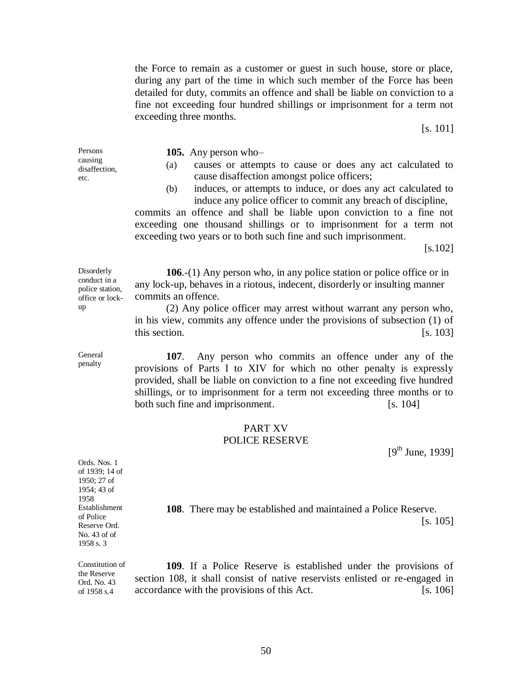the Force to remain as a customer or guest in such house, store or place, during any part of the time in which such member of the Force has been detailed for duty, commits an offence and shall be liable on conviction to a fine not exceeding four hundred shillings or imprisonment for a term not exceeding three months.

[s. 101]

Persons causing disaffection, etc.

**105.** Any person who–

- (a) causes or attempts to cause or does any act calculated to cause disaffection amongst police officers;
- (b) induces, or attempts to induce, or does any act calculated to induce any police officer to commit any breach of discipline,

commits an offence and shall be liable upon conviction to a fine not exceeding one thousand shillings or to imprisonment for a term not exceeding two years or to both such fine and such imprisonment.

[s.102]

office or lock-**106**.-(1) Any person who, in any police station or police office or in any lock-up, behaves in a riotous, indecent, disorderly or insulting manner commits an offence.

> (2) Any police officer may arrest without warrant any person who, in his view, commits any offence under the provisions of subsection (1) of this section. [s. 103]

> **107**. Any person who commits an offence under any of the provisions of Parts I to XIV for which no other penalty is expressly provided, shall be liable on conviction to a fine not exceeding five hundred shillings, or to imprisonment for a term not exceeding three months or to both such fine and imprisonment. [s. 104]

### PART XV POLICE RESERVE

 $[9<sup>th</sup>$  June, 1939]

Ords. Nos. 1 of 1939; 14 of 1950; 27 of 1954; 43 of 1958 Establishment of Police Reserve Ord. No. 43 of of 1958 s. 3

the Reserve Ord. No. 43 of 1958 s.4

**108**. There may be established and maintained a Police Reserve. [s. 105]

Constitution of **109**. If a Police Reserve is established under the provisions of section 108, it shall consist of native reservists enlisted or re-engaged in accordance with the provisions of this Act. [s. 106]

General penalty

**Disorderly** conduct in a police station,

up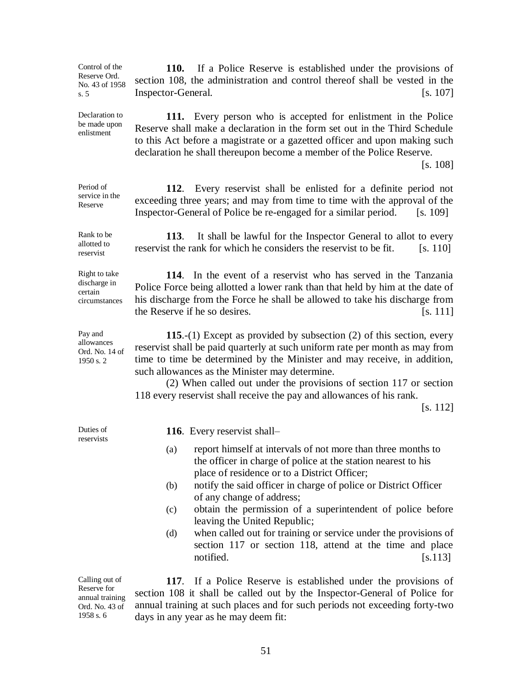Control of the Reserve Ord. No. 43 of 1958 s. 5

Declaration to be made upon enlistment

Period of

Reserve

Rank to be allotted to reservist

**110.** If a Police Reserve is established under the provisions of section 108, the administration and control thereof shall be vested in the Inspector-General. [s. 107]

**111.** Every person who is accepted for enlistment in the Police Reserve shall make a declaration in the form set out in the Third Schedule to this Act before a magistrate or a gazetted officer and upon making such declaration he shall thereupon become a member of the Police Reserve.

[s. 108]

service in the **112**. Every reservist shall be enlisted for a definite period not exceeding three years; and may from time to time with the approval of the Inspector-General of Police be re-engaged for a similar period. [s. 109]

> **113**. It shall be lawful for the Inspector General to allot to every reservist the rank for which he considers the reservist to be fit. [s. 110]

Right to take discharge in certain circumstances

Pay and allowances Ord. No. 14 of 1950 s. 2

**114**. In the event of a reservist who has served in the Tanzania Police Force being allotted a lower rank than that held by him at the date of his discharge from the Force he shall be allowed to take his discharge from the Reserve if he so desires. [S. 111]

**115**.-(1) Except as provided by subsection (2) of this section, every reservist shall be paid quarterly at such uniform rate per month as may from time to time be determined by the Minister and may receive, in addition, such allowances as the Minister may determine.

(2) When called out under the provisions of section 117 or section 118 every reservist shall receive the pay and allowances of his rank.

[s. 112]

Duties of reservists **116**. Every reservist shall–

- (a) report himself at intervals of not more than three months to the officer in charge of police at the station nearest to his place of residence or to a District Officer;
- (b) notify the said officer in charge of police or District Officer of any change of address;
- (c) obtain the permission of a superintendent of police before leaving the United Republic;
- (d) when called out for training or service under the provisions of section 117 or section 118, attend at the time and place notified. [s.113]

Calling out of Reserve for annual training Ord. No. 43 of 1958 s. 6

**117**. If a Police Reserve is established under the provisions of section 108 it shall be called out by the Inspector-General of Police for annual training at such places and for such periods not exceeding forty-two days in any year as he may deem fit: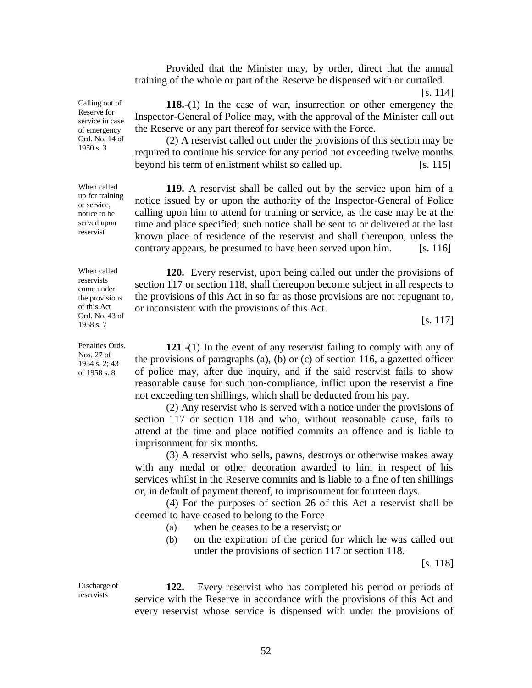Provided that the Minister may, by order, direct that the annual training of the whole or part of the Reserve be dispensed with or curtailed.

**118.**-(1) In the case of war, insurrection or other emergency the Inspector-General of Police may, with the approval of the Minister call out the Reserve or any part thereof for service with the Force.

(2) A reservist called out under the provisions of this section may be required to continue his service for any period not exceeding twelve months beyond his term of enlistment whilst so called up. [s. 115]

**119.** A reservist shall be called out by the service upon him of a notice issued by or upon the authority of the Inspector-General of Police calling upon him to attend for training or service, as the case may be at the time and place specified; such notice shall be sent to or delivered at the last known place of residence of the reservist and shall thereupon, unless the contrary appears, be presumed to have been served upon him. [s. 116]

**120.** Every reservist, upon being called out under the provisions of section 117 or section 118, shall thereupon become subject in all respects to the provisions of this Act in so far as those provisions are not repugnant to, or inconsistent with the provisions of this Act.

[s. 117]

**121**.-(1) In the event of any reservist failing to comply with any of the provisions of paragraphs (a), (b) or (c) of section 116, a gazetted officer of police may, after due inquiry, and if the said reservist fails to show reasonable cause for such non-compliance, inflict upon the reservist a fine not exceeding ten shillings, which shall be deducted from his pay.

(2) Any reservist who is served with a notice under the provisions of section 117 or section 118 and who, without reasonable cause, fails to attend at the time and place notified commits an offence and is liable to imprisonment for six months.

(3) A reservist who sells, pawns, destroys or otherwise makes away with any medal or other decoration awarded to him in respect of his services whilst in the Reserve commits and is liable to a fine of ten shillings or, in default of payment thereof, to imprisonment for fourteen days.

(4) For the purposes of section 26 of this Act a reservist shall be deemed to have ceased to belong to the Force–

- (a) when he ceases to be a reservist; or
- (b) on the expiration of the period for which he was called out under the provisions of section 117 or section 118.

[s. 118]

Discharge of reservists

**122.** Every reservist who has completed his period or periods of service with the Reserve in accordance with the provisions of this Act and every reservist whose service is dispensed with under the provisions of

Calling out of Reserve for service in case of emergency Ord. No. 14 of 1950 s. 3

When called up for training or service, notice to be served upon reservist

When called reservists come under the provisions of this Act Ord. No. 43 of 1958 s. 7

Penalties Ords. Nos. 27 of 1954 s. 2; 43 of 1958 s. 8

<sup>[</sup>s. 114]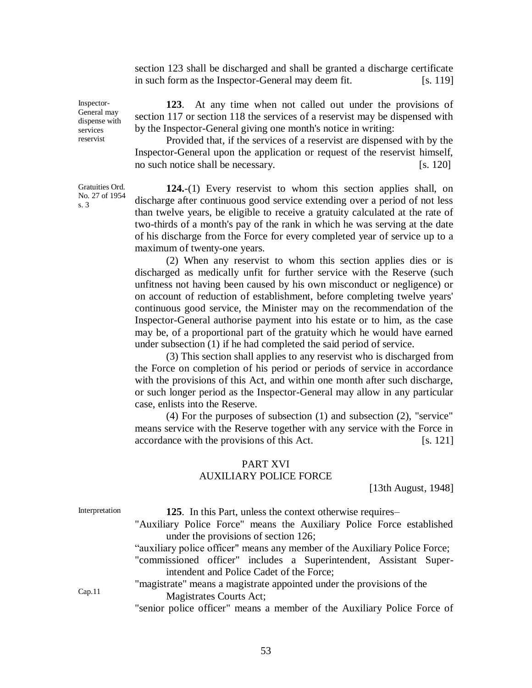section 123 shall be discharged and shall be granted a discharge certificate in such form as the Inspector-General may deem fit. [s. 119]

**123**. At any time when not called out under the provisions of section 117 or section 118 the services of a reservist may be dispensed with by the Inspector-General giving one month's notice in writing:

Provided that, if the services of a reservist are dispensed with by the Inspector-General upon the application or request of the reservist himself, no such notice shall be necessary. [S. 120]

**124.**-(1) Every reservist to whom this section applies shall, on discharge after continuous good service extending over a period of not less than twelve years, be eligible to receive a gratuity calculated at the rate of two-thirds of a month's pay of the rank in which he was serving at the date of his discharge from the Force for every completed year of service up to a maximum of twenty-one years.

(2) When any reservist to whom this section applies dies or is discharged as medically unfit for further service with the Reserve (such unfitness not having been caused by his own misconduct or negligence) or on account of reduction of establishment, before completing twelve years' continuous good service, the Minister may on the recommendation of the Inspector-General authorise payment into his estate or to him, as the case may be, of a proportional part of the gratuity which he would have earned under subsection (1) if he had completed the said period of service.

(3) This section shall applies to any reservist who is discharged from the Force on completion of his period or periods of service in accordance with the provisions of this Act, and within one month after such discharge, or such longer period as the Inspector-General may allow in any particular case, enlists into the Reserve.

(4) For the purposes of subsection (1) and subsection (2), "service" means service with the Reserve together with any service with the Force in accordance with the provisions of this Act. [s. 121]

### PART XVI AUXILIARY POLICE FORCE

[13th August, 1948]

| Interpretation | 125. In this Part, unless the context otherwise requires-                  |  |  |  |  |  |  |
|----------------|----------------------------------------------------------------------------|--|--|--|--|--|--|
|                | "Auxiliary Police Force" means the Auxiliary Police Force established      |  |  |  |  |  |  |
|                | under the provisions of section 126;                                       |  |  |  |  |  |  |
|                | "auxiliary police officer" means any member of the Auxiliary Police Force; |  |  |  |  |  |  |
|                | "commissioned officer" includes a Superintendent, Assistant Super-         |  |  |  |  |  |  |
|                | intendent and Police Cadet of the Force;                                   |  |  |  |  |  |  |
| Cap.11         | "magistrate" means a magistrate appointed under the provisions of the      |  |  |  |  |  |  |
|                | Magistrates Courts Act;                                                    |  |  |  |  |  |  |
|                | "senior police officer" means a member of the Auxiliary Police Force of    |  |  |  |  |  |  |
|                |                                                                            |  |  |  |  |  |  |

Inspector-General may dispense with services reservist

Gratuities Ord. No. 27 of 1954 s. 3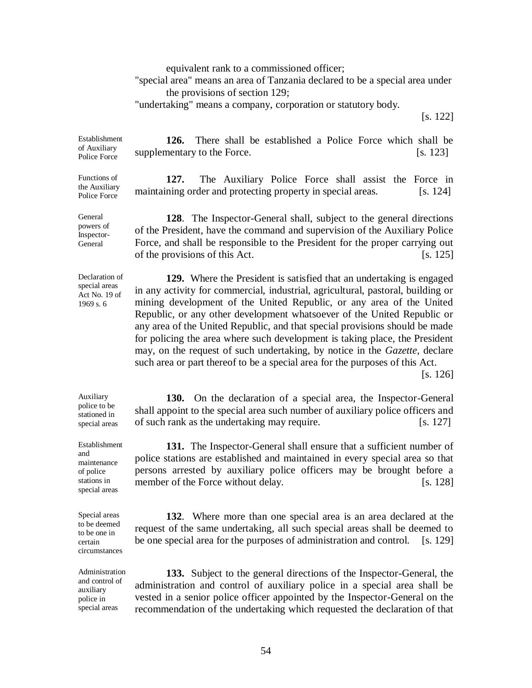equivalent rank to a commissioned officer;

"special area" means an area of Tanzania declared to be a special area under the provisions of section 129;

"undertaking" means a company, corporation or statutory body.

[s. 122]

Establishment of Auxiliary Police Force **126.** There shall be established a Police Force which shall be supplementary to the Force. [s. 123]

> **127.** The Auxiliary Police Force shall assist the Force in maintaining order and protecting property in special areas. [s. 124]

> **128**. The Inspector-General shall, subject to the general directions of the President, have the command and supervision of the Auxiliary Police Force, and shall be responsible to the President for the proper carrying out of the provisions of this Act. [s. 125]

Declaration of special areas Act No. 19 of 1969 s. 6

Functions of the Auxiliary Police Force

General powers of Inspector-General

> **129.** Where the President is satisfied that an undertaking is engaged in any activity for commercial, industrial, agricultural, pastoral, building or mining development of the United Republic, or any area of the United Republic, or any other development whatsoever of the United Republic or any area of the United Republic, and that special provisions should be made for policing the area where such development is taking place, the President may, on the request of such undertaking, by notice in the *Gazette,* declare such area or part thereof to be a special area for the purposes of this Act.

[s. 126]

**130.** On the declaration of a special area, the Inspector-General shall appoint to the special area such number of auxiliary police officers and of such rank as the undertaking may require. [s. 127]

**131.** The Inspector-General shall ensure that a sufficient number of police stations are established and maintained in every special area so that persons arrested by auxiliary police officers may be brought before a member of the Force without delay. [s. 128]

**132**. Where more than one special area is an area declared at the request of the same undertaking, all such special areas shall be deemed to be one special area for the purposes of administration and control. [s. 129]

**133.** Subject to the general directions of the Inspector-General, the administration and control of auxiliary police in a special area shall be vested in a senior police officer appointed by the Inspector-General on the recommendation of the undertaking which requested the declaration of that

Auxiliary police to be stationed in special areas

Establishment and maintenance of police stations in special areas

Special areas to be deemed to be one in certain circumstances

Administration and control of auxiliary police in special areas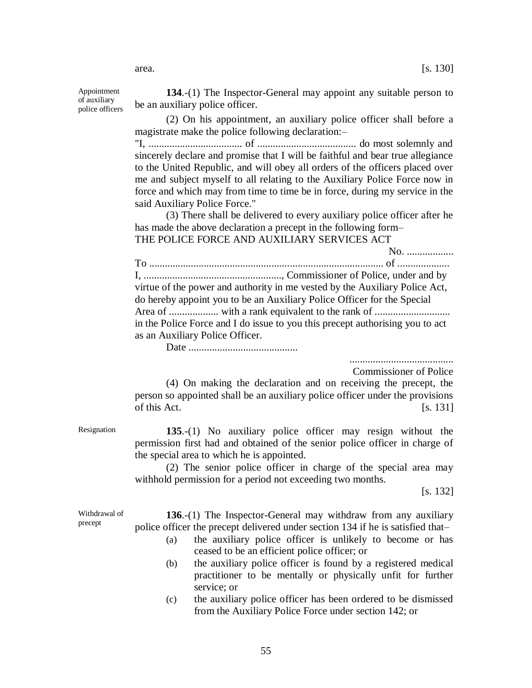area.  $[s. 130]$ 

Appointment of auxiliary police officers

**134**.-(1) The Inspector-General may appoint any suitable person to be an auxiliary police officer.

(2) On his appointment, an auxiliary police officer shall before a magistrate make the police following declaration:–

"I, .................................... of ...................................... do most solemnly and sincerely declare and promise that I will be faithful and bear true allegiance to the United Republic, and will obey all orders of the officers placed over me and subject myself to all relating to the Auxiliary Police Force now in force and which may from time to time be in force, during my service in the said Auxiliary Police Force."

(3) There shall be delivered to every auxiliary police officer after he has made the above declaration a precept in the following form– THE POLICE FORCE AND AUXILIARY SERVICES ACT

No. .................. To .......................................................................................... of .................... I, ....................................................., Commissioner of Police, under and by virtue of the power and authority in me vested by the Auxiliary Police Act, do hereby appoint you to be an Auxiliary Police Officer for the Special Area of ................... with a rank equivalent to the rank of ............................. in the Police Force and I do issue to you this precept authorising you to act as an Auxiliary Police Officer.

Date ..........................................

........................................

Commissioner of Police

(4) On making the declaration and on receiving the precept, the person so appointed shall be an auxiliary police officer under the provisions of this Act.  $[s, 131]$ 

Resignation **135**.-(1) No auxiliary police officer may resign without the permission first had and obtained of the senior police officer in charge of the special area to which he is appointed.

> (2) The senior police officer in charge of the special area may withhold permission for a period not exceeding two months.

> > [s. 132]

Withdrawal of precept

**136**.-(1) The Inspector-General may withdraw from any auxiliary police officer the precept delivered under section 134 if he is satisfied that–

- (a) the auxiliary police officer is unlikely to become or has ceased to be an efficient police officer; or
- (b) the auxiliary police officer is found by a registered medical practitioner to be mentally or physically unfit for further service; or
- (c) the auxiliary police officer has been ordered to be dismissed from the Auxiliary Police Force under section 142; or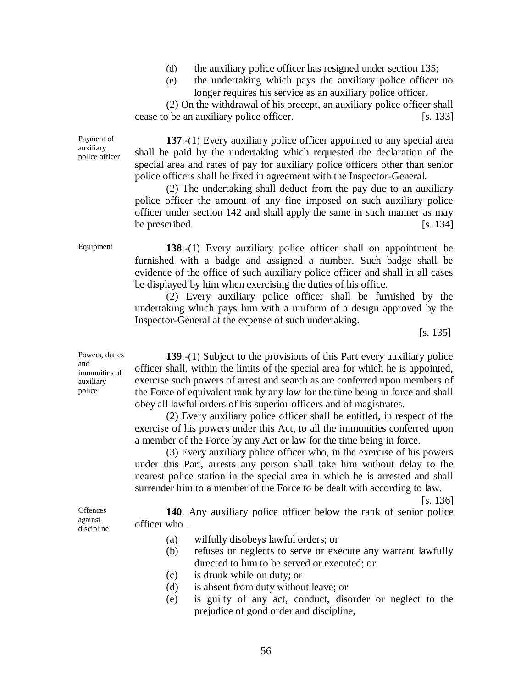- (d) the auxiliary police officer has resigned under section 135;
- (e) the undertaking which pays the auxiliary police officer no longer requires his service as an auxiliary police officer.

(2) On the withdrawal of his precept, an auxiliary police officer shall cease to be an auxiliary police officer. [s. 133]

**137**.-(1) Every auxiliary police officer appointed to any special area shall be paid by the undertaking which requested the declaration of the special area and rates of pay for auxiliary police officers other than senior police officers shall be fixed in agreement with the Inspector-General.

(2) The undertaking shall deduct from the pay due to an auxiliary police officer the amount of any fine imposed on such auxiliary police officer under section 142 and shall apply the same in such manner as may be prescribed.  $[s. 134]$ 

Payment of auxiliary police officer

Equipment **138**.-(1) Every auxiliary police officer shall on appointment be furnished with a badge and assigned a number. Such badge shall be evidence of the office of such auxiliary police officer and shall in all cases be displayed by him when exercising the duties of his office.

> (2) Every auxiliary police officer shall be furnished by the undertaking which pays him with a uniform of a design approved by the Inspector-General at the expense of such undertaking.

> > [s. 135]

**139**.-(1) Subject to the provisions of this Part every auxiliary police officer shall, within the limits of the special area for which he is appointed, exercise such powers of arrest and search as are conferred upon members of the Force of equivalent rank by any law for the time being in force and shall obey all lawful orders of his superior officers and of magistrates.

(2) Every auxiliary police officer shall be entitled, in respect of the exercise of his powers under this Act, to all the immunities conferred upon a member of the Force by any Act or law for the time being in force.

(3) Every auxiliary police officer who, in the exercise of his powers under this Part, arrests any person shall take him without delay to the nearest police station in the special area in which he is arrested and shall surrender him to a member of the Force to be dealt with according to law.

[s. 136]

**140**. Any auxiliary police officer below the rank of senior police officer who–

- (a) wilfully disobeys lawful orders; or
- (b) refuses or neglects to serve or execute any warrant lawfully directed to him to be served or executed; or
- (c) is drunk while on duty; or
- (d) is absent from duty without leave; or
- (e) is guilty of any act, conduct, disorder or neglect to the prejudice of good order and discipline,

Powers, duties and immunities of auxiliary police

**Offences** against discipline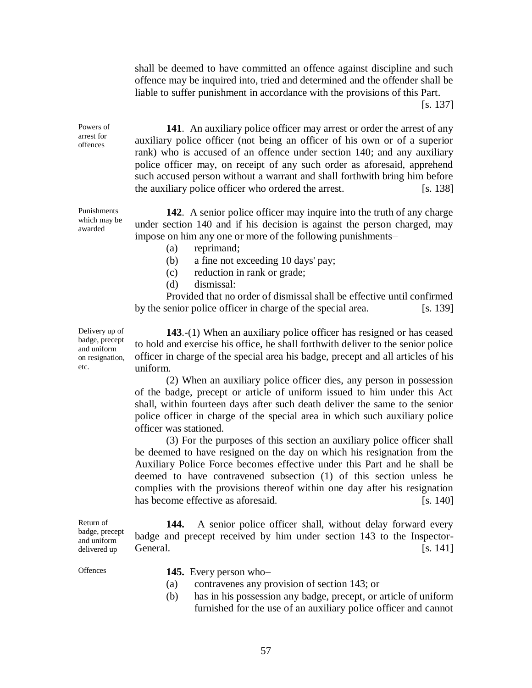shall be deemed to have committed an offence against discipline and such offence may be inquired into, tried and determined and the offender shall be liable to suffer punishment in accordance with the provisions of this Part.

[s. 137]

**141**. An auxiliary police officer may arrest or order the arrest of any auxiliary police officer (not being an officer of his own or of a superior rank) who is accused of an offence under section 140; and any auxiliary police officer may, on receipt of any such order as aforesaid, apprehend such accused person without a warrant and shall forthwith bring him before the auxiliary police officer who ordered the arrest. [s. 138]

**142**. A senior police officer may inquire into the truth of any charge under section 140 and if his decision is against the person charged, may impose on him any one or more of the following punishments–

- (a) reprimand;
- (b) a fine not exceeding 10 days' pay;
- (c) reduction in rank or grade;
- (d) dismissal:

Provided that no order of dismissal shall be effective until confirmed by the senior police officer in charge of the special area. [s. 139]

Delivery up of badge, precept and uniform on resignation, etc.

Powers of arrest for offences

Punishments which may be awarded

> **143**.-(1) When an auxiliary police officer has resigned or has ceased to hold and exercise his office, he shall forthwith deliver to the senior police officer in charge of the special area his badge, precept and all articles of his uniform.

> (2) When an auxiliary police officer dies, any person in possession of the badge, precept or article of uniform issued to him under this Act shall, within fourteen days after such death deliver the same to the senior police officer in charge of the special area in which such auxiliary police officer was stationed.

> (3) For the purposes of this section an auxiliary police officer shall be deemed to have resigned on the day on which his resignation from the Auxiliary Police Force becomes effective under this Part and he shall be deemed to have contravened subsection (1) of this section unless he complies with the provisions thereof within one day after his resignation has become effective as aforesaid. [s. 140]

Return of badge, precept and uniform delivered up **144.** A senior police officer shall, without delay forward every badge and precept received by him under section 143 to the Inspector-General. [s. 141]

Offences **145.** Every person who–

- (a) contravenes any provision of section 143; or
- (b) has in his possession any badge, precept, or article of uniform furnished for the use of an auxiliary police officer and cannot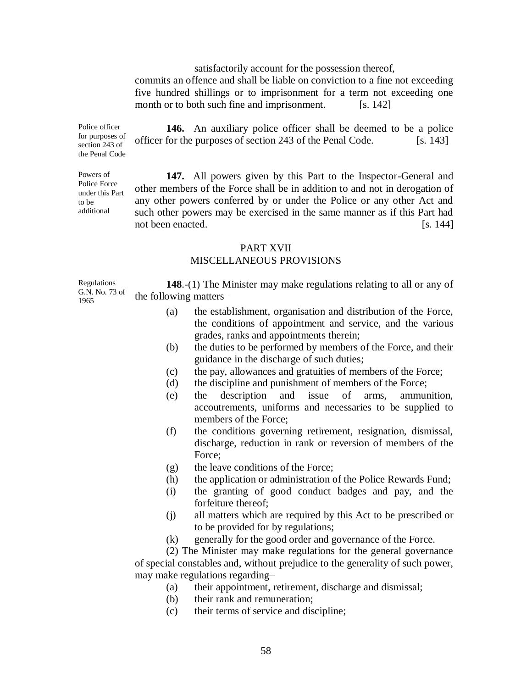satisfactorily account for the possession thereof,

commits an offence and shall be liable on conviction to a fine not exceeding five hundred shillings or to imprisonment for a term not exceeding one month or to both such fine and imprisonment. [s. 142]

Police officer for purposes of section 243 of the Penal Code

Powers of Police Force under this Part

to be additional

**146.** An auxiliary police officer shall be deemed to be a police officer for the purposes of section 243 of the Penal Code. [s. 143]

**147.** All powers given by this Part to the Inspector-General and other members of the Force shall be in addition to and not in derogation of any other powers conferred by or under the Police or any other Act and such other powers may be exercised in the same manner as if this Part had not been enacted. [S. 144]

### PART XVII

### MISCELLANEOUS PROVISIONS

Regulations G.N. No. 73 of 1965 **148**.-(1) The Minister may make regulations relating to all or any of the following matters–

- (a) the establishment, organisation and distribution of the Force, the conditions of appointment and service, and the various grades, ranks and appointments therein;
- (b) the duties to be performed by members of the Force, and their guidance in the discharge of such duties;
- (c) the pay, allowances and gratuities of members of the Force;
- (d) the discipline and punishment of members of the Force;
- (e) the description and issue of arms, ammunition, accoutrements, uniforms and necessaries to be supplied to members of the Force;
- (f) the conditions governing retirement, resignation, dismissal, discharge, reduction in rank or reversion of members of the Force:
- (g) the leave conditions of the Force;
- (h) the application or administration of the Police Rewards Fund;
- (i) the granting of good conduct badges and pay, and the forfeiture thereof;
- (j) all matters which are required by this Act to be prescribed or to be provided for by regulations;
- (k) generally for the good order and governance of the Force.

(2) The Minister may make regulations for the general governance of special constables and, without prejudice to the generality of such power, may make regulations regarding–

- (a) their appointment, retirement, discharge and dismissal;
- (b) their rank and remuneration;
- (c) their terms of service and discipline;

58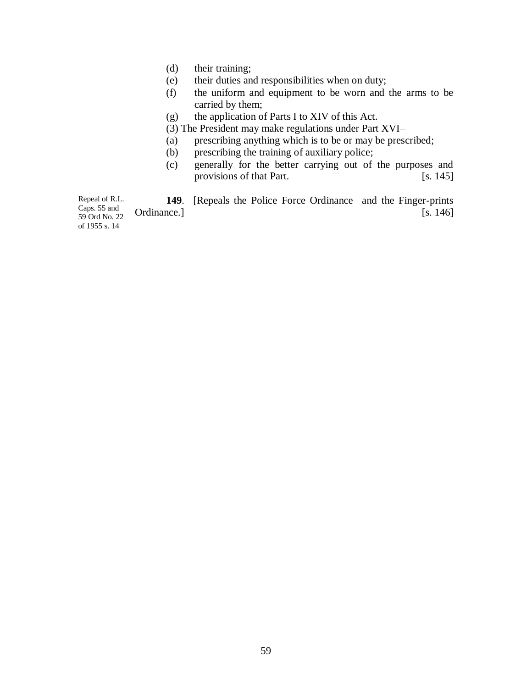- (d) their training;
- (e) their duties and responsibilities when on duty;
- (f) the uniform and equipment to be worn and the arms to be carried by them;
- (g) the application of Parts I to XIV of this Act.
- (3) The President may make regulations under Part XVI–
- (a) prescribing anything which is to be or may be prescribed;
- (b) prescribing the training of auxiliary police;
- (c) generally for the better carrying out of the purposes and provisions of that Part. [s. 145]

Repeal of R.L. Caps. 55 and 59 Ord No. 22 **149**. [Repeals the Police Force Ordinance and the Finger-prints Ordinance.] [s. 146]

of 1955 s. 14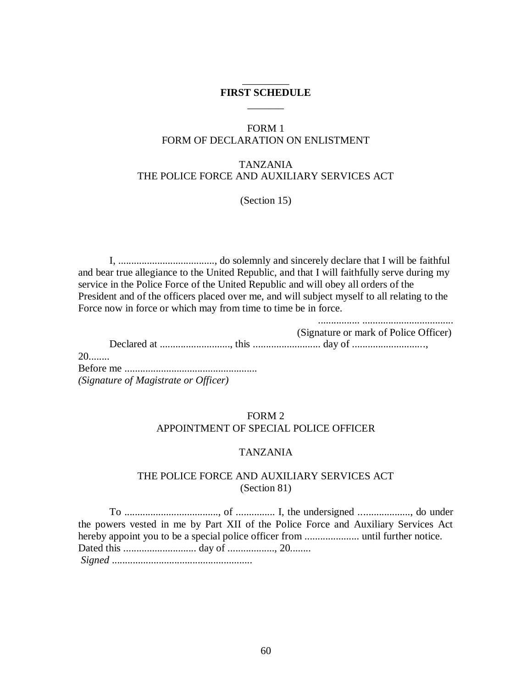### \_\_\_\_\_\_\_\_\_ **FIRST SCHEDULE**  $\overline{\phantom{a}}$

### FORM 1 FORM OF DECLARATION ON ENLISTMENT

# TANZANIA THE POLICE FORCE AND AUXILIARY SERVICES ACT

(Section 15)

I, ....................................., do solemnly and sincerely declare that I will be faithful and bear true allegiance to the United Republic, and that I will faithfully serve during my service in the Police Force of the United Republic and will obey all orders of the President and of the officers placed over me, and will subject myself to all relating to the Force now in force or which may from time to time be in force.

|                                      | (Signature or mark of Police Officer) |
|--------------------------------------|---------------------------------------|
|                                      |                                       |
| $20$                                 |                                       |
|                                      |                                       |
| (Signature of Magistrate or Officer) |                                       |

# FORM 2 APPOINTMENT OF SPECIAL POLICE OFFICER

### TANZANIA

### THE POLICE FORCE AND AUXILIARY SERVICES ACT (Section 81)

To ...................................., of ............... I, the undersigned ...................., do under the powers vested in me by Part XII of the Police Force and Auxiliary Services Act hereby appoint you to be a special police officer from ..................... until further notice. Dated this ............................ day of .................., 20........ *Signed* ......................................................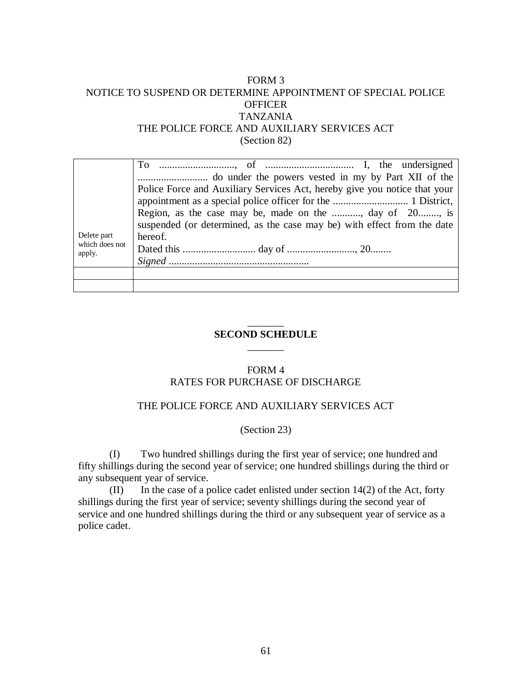# FORM 3 NOTICE TO SUSPEND OR DETERMINE APPOINTMENT OF SPECIAL POLICE **OFFICER** TANZANIA THE POLICE FORCE AND AUXILIARY SERVICES ACT (Section 82)

|                                         | Police Force and Auxiliary Services Act, hereby give you notice that your |
|-----------------------------------------|---------------------------------------------------------------------------|
|                                         |                                                                           |
|                                         | Region, as the case may be, made on the , day of 20, is                   |
| Delete part<br>which does not<br>apply. | suspended (or determined, as the case may be) with effect from the date   |
|                                         | hereof.                                                                   |
|                                         |                                                                           |
|                                         |                                                                           |
|                                         |                                                                           |
|                                         |                                                                           |

### $\overline{\phantom{a}}$ **SECOND SCHEDULE**  $\overline{\phantom{a}}$

# FORM 4 RATES FOR PURCHASE OF DISCHARGE

### THE POLICE FORCE AND AUXILIARY SERVICES ACT

### (Section 23)

(I) Two hundred shillings during the first year of service; one hundred and fifty shillings during the second year of service; one hundred shillings during the third or any subsequent year of service.

(II) In the case of a police cadet enlisted under section  $14(2)$  of the Act, forty shillings during the first year of service; seventy shillings during the second year of service and one hundred shillings during the third or any subsequent year of service as a police cadet.